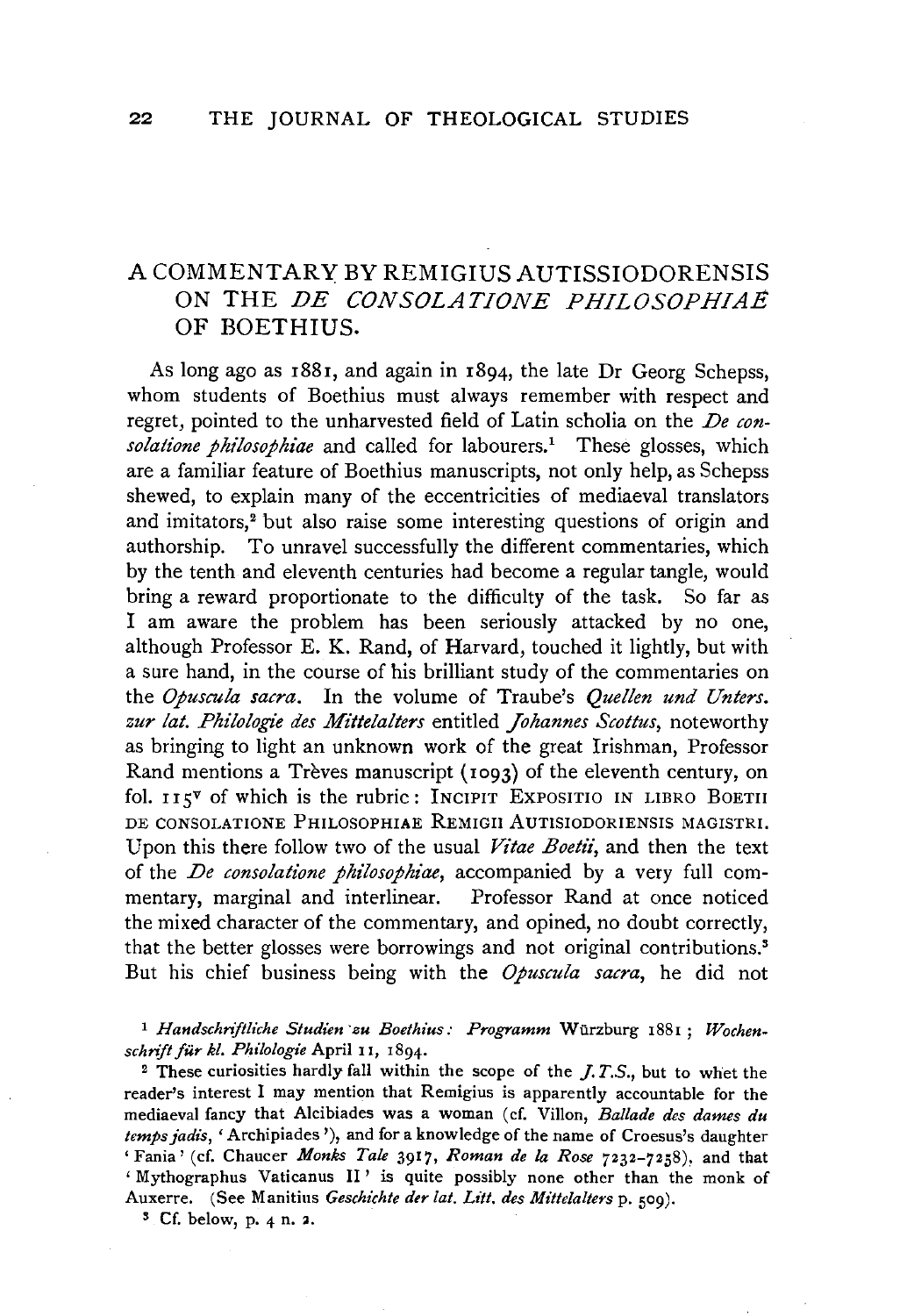## A COMMENTARY BY REMIGIUS AUTISSIODORENSIS ON THE *DE CONSOLATIONE PHILOSOPHIAE*  OF BOETHIUS.

As long ago as 1881, and again in 1894, the late Dr Georg Schepss, whom students of Boethius must always remember with respect and regret, pointed to the unharvested field of Latin scholia on the *De con*solatione philosophiae and called for labourers.<sup>1</sup> These glosses, which are a familiar feature of Boethius manuscripts, not only help, as Schepss shewed, to explain many of the eccentricities of mediaeval translators and imitators,<sup>2</sup> but also raise some interesting questions of origin and authorship. To unravel successfully the different commentaries, which by the tenth and eleventh centuries had become a regular tangle, would bring a reward proportionate to the difficulty of the task. So far as I am aware the problem has been seriously attacked by no one, although Professor E. K. Rand, of Harvard, touched it lightly, but with a sure hand, in the course of his brilliant study of the commentaries on the *Opuscula sacra.* In the volume of Traube's *Quellen und Unters. zur lat. Philologie des Mittelalters* entitled *Johannes Scottus,* noteworthy as bringing to light an unknown work of the great Irishman, Professor Rand mentions a Trèves manuscript (1093) of the eleventh century, on fol.  $115^{\gamma}$  of which is the rubric: INCIPIT EXPOSITIO IN LIBRO BOETII DE CONSOLATIONE PHILOSOPHIAE REMIGII AUTISIODORIENSIS MAGISTRI. Upon this there follow two of the usual *Vitae Boetii*, and then the text of the *De consolatione philosophiae,* accompanied by a very full commentary, marginal and interlinear. Professor Rand at once noticed the mixed character of the commentary, and opined, no doubt correctly, that the better glosses were borrowings and not original contributions.3 But his chief business being with the *Opuscula sacra,* he did not

1 *Handschnftliche Studien ·zu Boethius: Programm* Wiirzburg 1881; *Wochenschnft fur kl. Philologie* April 11, 1894.

2 These curiosities hardly fall within the scope of the J. *T.S.,* but to whet the reader's interest I may mention that Remigius is apparently accountable for the mediaeval fancy that Alcibiades was a woman ( cf. Villon, *Ballade des dames du temps jadis,* 'Archipiades '), and for a knowledge of the name of Croesus's daughter 'Fania' (cf. Chaucer *Monks Tale* 3917, *Roman de la Rose* 7232-7258), and that ' Mythographus Vaticanus II ' is quite possibly none other than the monk of Auxerre. (See Manitius *Geschichte der lat. Litt. des Mittelalters* p. 509).<br><sup>3</sup> Cf. below, p. 4 n. 2.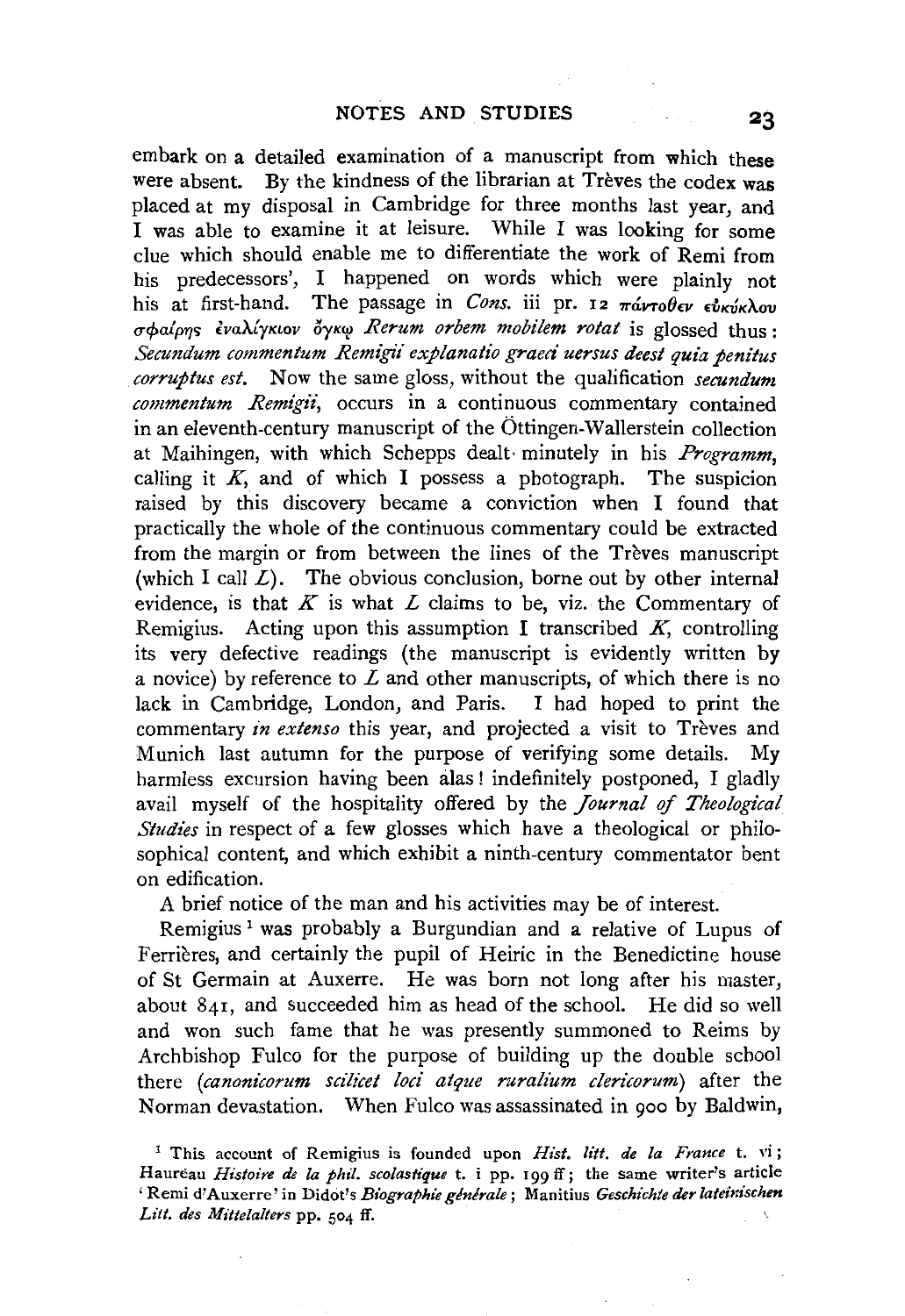embark on a detailed examination of a manuscript from which these were absent. By the kindness of the librarian at Trèves the codex was placed at my disposal in Cambridge for three months last year, and I was able to examine it at leisure. While I was looking for some clue which should enable me to differentiate the work of Remi from his predecessors', I happened on words which were plainly not his at first-hand. The passage in *Cons*. iii pr. 12  $\pi \omega r_0 \theta \epsilon \nu \epsilon \omega \kappa \omega \omega$ σφαίρης έναλίγκιον όγκω Rerum orbem mobilem rotat is glossed thus : *Secundum commentum Remigii explanatio graeci uersus deest quia penitus corruptus est.* Now the same gloss, without the qualification *secundum commentum Remigii,* occurs in a continuous commentary contained in an eleventh-century manuscript of the Ottingen-Wallerstein collection at Maihingen, with which Schepps dealt· minutely in his *Programm,*  calling it  $K$ , and of which I possess a photograph. The suspicion raised by this discovery became a conviction when I found that practically the whole of the continuous commentary could be extracted from the margin or from between the lines of the Trèves manuscript (which I call  $L$ ). The obvious conclusion, borne out by other internal evidence, is that  $K$  is what  $L$  claims to be, viz. the Commentary of Remigius. Acting upon this assumption I transcribed  $K$ , controlling its very defective readings (the manuscript is evidently written by a novice) by reference to  $L$  and other manuscripts, of which there is no lack in Cambridge, London, and Paris. I had hoped to print the commentary *in extenso* this year, and projected a visit to Trèves and Munich last autumn for the purpose of verifying some details. My harmless excursion having been alas! indefinitely postponed, I gladly avail myself of the hospitality offered by the *Journal* of *Theological Studies* in respect of a few glosses which have a theological or philosophical content, and which exhibit a ninth-century commentator bent on edification.

A brief notice of the man and his activities may be of interest.

Remigius 1 was probably a Burgundian and a relative of Lupus of Ferrieres, and certainly the pupil of Heiric in the Benedictine house of St Germain at Auxerre. He was born not long after his master, about 841, and succeeded him as head of the school. He did so well and won such fame that he was presently summoned to Reims by Archbishop Fulco for the purpose of building up the double school there *(canonicorum scilicet loci atque ruralium clericorum*) after the Norman devastation. When Fulco was assassinated in 900 by Baldwin,

1 This account of Remigius is founded upon *Hist. litt. de la France* t. vi; Haureau *Histoire de la phil. scolastique t.* i pp. 199 ff; the same writer's article ' Remi d'Auxerre' in Didot's *Biographie générale* ; Manitius *Geschichte der lateinischen Lilt. des Mittelalters* pp. 504 ff.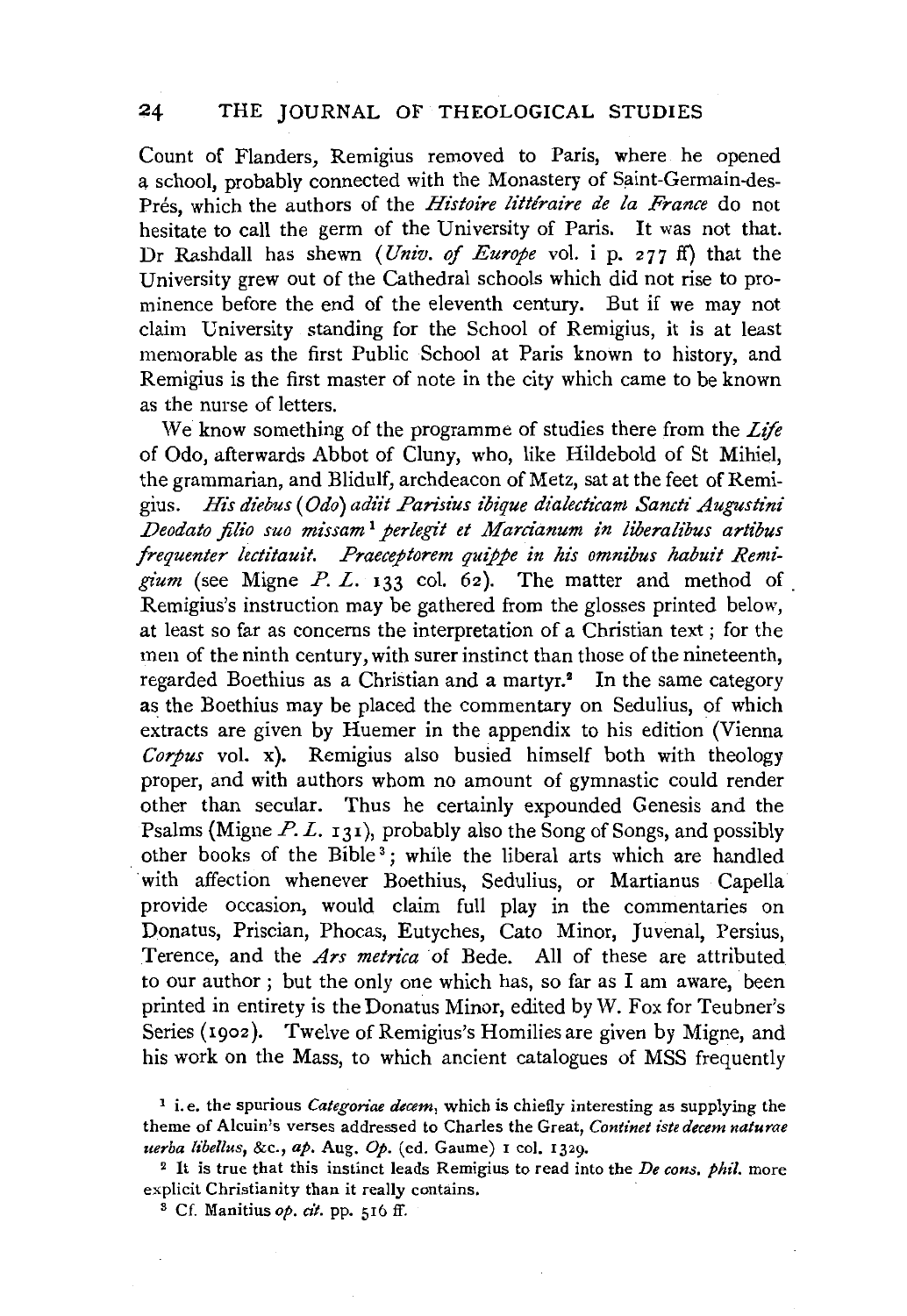## 24 THE JOURNAL OF THEOLOGICAL STUDIES

Count of Flanders, Remigius removed to Paris, where he opened a school, probably connected with the Monastery of Saint-Germain-des-Prés, which the authors of the *Histoire littéraire de la France* do not hesitate to call the germ of the University of Paris. It was not that. Dr Rashdall has shewn (*Univ. of Europe* vol. i p. 277 ff) that the University grew out of the Cathedral schools which did not rise to prominence before the end of the eleventh century. But if we may not claim University standing for the School of Remigius, it is at least memorable as the first Public School at Paris known to history, and Remigius is the first master of note in the city which came to be known as the nurse of letters.

We know something of the programme of studies there from the *Life*  of Odo, afterwards Abbot of Cluny, who, like Hildebold of St Mihiel, the grammarian, and Blidulf, archdeacon of Metz, sat at the feet of Remigius. *His diebus* ( *Odo) adti't Pansius ibique dialecticam Sanctz' Augustini Deodato jilio suo missam* 1 *perlegz't et Marcianum in liberalibus artibus frequenter lectitauit. Praeceptorem quippe in his omnibus habuit Remigz'um* (see Migne P. L. 133 col. 62). The matter and method of Remigius's instruction may be gathered from the glosses printed below, at least so far as concerns the interpretation of a Christian text ; for the men of the ninth century, with surer instinct than those of the nineteenth, regarded Boethius as a Christian and a martyr.<sup>2</sup> In the same category as the Boethius may be placed the commentary on Sedulius, of which extracts are given by Huemer in the appendix to his edition (Vienna *Corpus* vol. x). Remigius also busied himself both with theology proper, and with authors whom no amount of gymnastic could render other than secular. Thus he certainly expounded Genesis and the Psalms (Migne  $P. L. 131$ ), probably also the Song of Songs, and possibly other books of the Bible<sup>3</sup>; while the liberal arts which are handled with affection whenever Boethius, Sedulius, or Martianus Capella provide occasion, would claim full play in the commentaries on Donatus, Priscian, Phocas, Eutyches, Cato Minor, Juvenal, Persius, Terence, and the *Ars metrica* of Bede. All of these are attributed to our author ; but the only one which has, so far as I am aware, been printed in entirety is the Donatus Minor, edited by W. Fox for Teubner's Series (1902). Twelve of Remigius's Homilies are given by Migne, and his work on the Mass, to which ancient catalogues of MSS frequently

<sup>&</sup>lt;sup>1</sup> i.e. the spurious *Categoriae decem*, which is chiefly interesting as supplying the theme of Alcuin's verses addressed to Charles the Great, *Continet iste decem naturae uerba libel/us,* &c., *ap.* Aug. *Op.* (ed. Gaume) I col. 1329. 2 It is true that this instinct leads Remigius to read into the *De cons. phil.* more

explicit Christianity than it really contains. 3 Cf. Manitius *op. cit.* pp. 516 ff.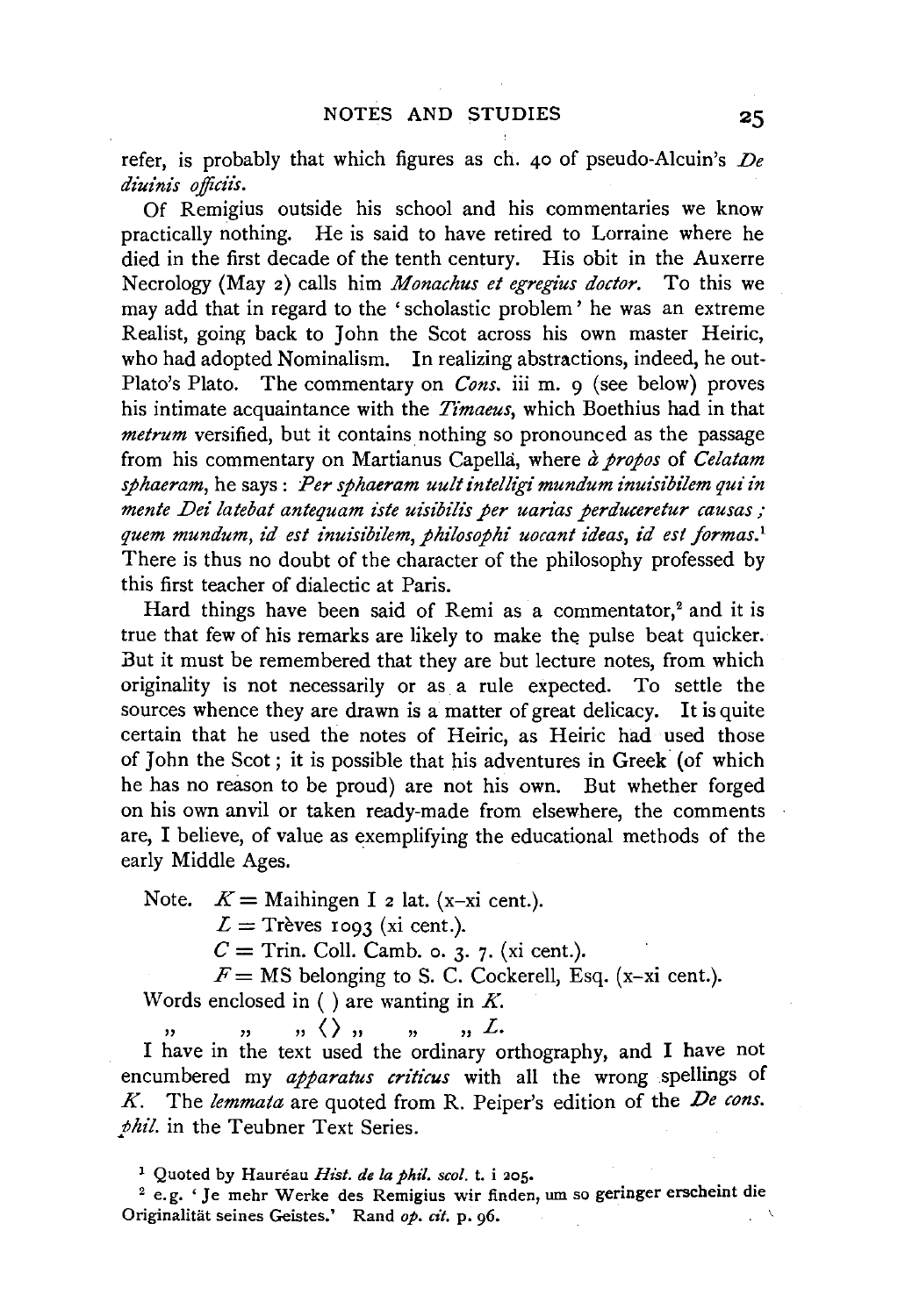refer, is probably that which figures as ch. 40 of pseudo-Alcuin's *De diuinis officiis.* 

Of Remigius outside his school and his commentaries we know practically nothing. He is said to have retired to Lorraine where he died in the first decade of the tenth century. His obit in the Auxerre Necrology (May 2) calls him *Monachus et egregius doctor.* To this we may add that in regard to the 'scholastic problem' he was an extreme Realist, going back to John the Scot across his own master Heiric, who had adopted Nominalism. In realizing abstractions, indeed, he out-Plato's Plato. The commentary on *Cons*, iii m. 9 (see below) proves his intimate acquaintance with the *Timaeus,* which Boethius had in that *metrum* versified, but it contains nothing so pronounced as the passage from his commentary on Martianus Capella, where *a propos* of *Celatam*  sphaeram, *he says : Per sphaeram uult intelligi mundum inuisibilem qui in* mente Dei latebat antequam iste uisibilis per uarias perduceretur causas; *quem mundum, id est inuisibilem, philosophi uocant ideas, id est formas.* <sup>1</sup> There is thus no doubt of the character of the philosophy professed by this first teacher of dialectic at Paris.

Hard things have been said of Remi as a commentator, $2$  and it is true that few of his remarks are likely to make the pulse beat quicker. But it must be remembered that they are but lecture notes, from which originality is not necessarily or as a rule expected. To settle the sources whence they are drawn is a matter of great delicacy. It is quite certain that he used the notes of Heiric, as Heiric had used those of John the Scot ; it is possible that his adventures in Greek (of which he has no reason to be proud) are not his own. But whether forged on his own anvil or taken ready-made from elsewhere, the comments are, I believe, of value as exemplifying the educational methods of the early Middle Ages.

Note.  $K =$  Maihingen I 2 lat. (x-xi cent.).

 $L =$  Trèves 1093 (xi cent.).

 $C =$  Trin. Coll. Camb. o. 3. 7. (xi cent.).

 $F=$  MS belonging to S. C. Cockerell, Esq. (x-xi cent.).

Words enclosed in ( ) are wanting in *K.* 

 $''$  " " "  $''$  "  $''$  " " "  $''$  "  $L$ .<br>I have in the text used the ordinary orthography, and I have not

encumbered my *apparatus criticus* with all the wrong spellings of *K.* The *lemmata* are quoted from R. Peiper's edition of the *De cons. phil.* in the Teubner Text Series.

1 Quoted by Haureau *Hist. de Ia pht1. scol.* t. i 205.

<sup>2</sup> e.g. 'Je mehr Werke des Remigius wir finden, um so geringer erscheint die Originalitat seines Geistes.' Rand *op. cit.* p. 96.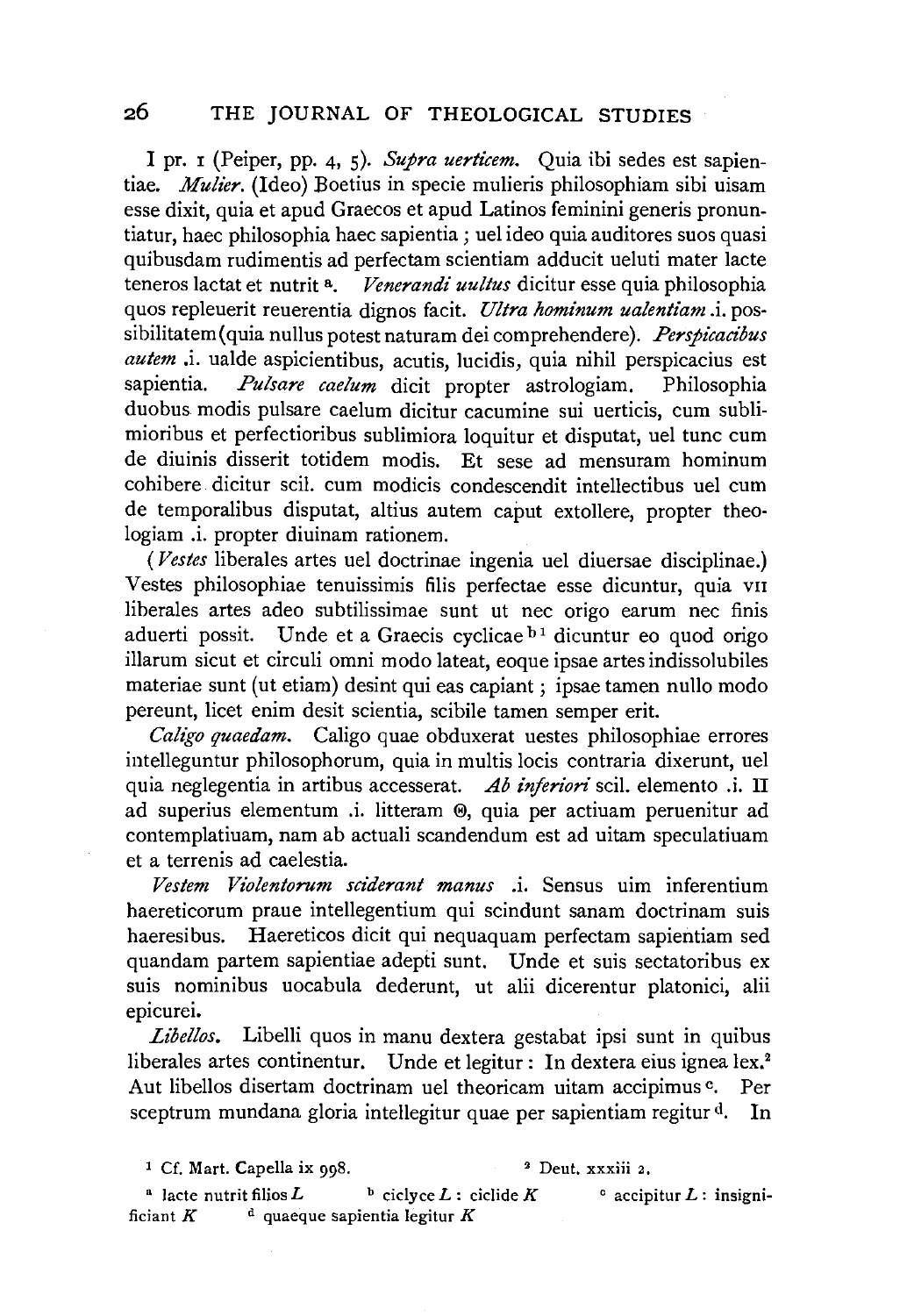I pr. 1 (Peiper, pp. 4, 5). Supra verticem. Quia ibi sedes est sapientiae. *Mulier.* (Ideo) Boetius in specie mulieris philosophiam sibi uisam esse dixit, quia et apud Graecos et apud Latinos feminini generis pronuntiatur, haec philosophia haec sapientia; uel ideo quia auditores suos quasi quibusdam rudimentis ad perfectam scientiam adducit ueluti mater lacte teneros lactat et nutrit a. *Venerandi uultus* dicitur esse quia philosophia quos repleuerit reuerentia dignos facit. *Ultra hominum ualentiam* .i. possibilitatem (quia nullus potest naturam dei comprehendere). Perspicacibus *autem* .i. ualde aspicientibus, acutis, lucidis, quia nihil perspicacius est sapientia. *Pulsare caelum* dicit propter astrologiam. Philosophia duobus modis pulsare caelum dicitur cacumine sui uerticis, cum sublimioribus et perfectioribus sublimiora loquitur et disputat, uel tunc cum de diuinis disserit totidem modis. Et sese ad mensuram hominum cohibere dicitur scil. cum modicis condescendit intellectibus uel cum de temporalibus disputat, altius autem caput extollere, propter theologiam .i. propter diuinam rationem.

( *Vestes* liberales artes uel doctrinae ingenia uel diuersae disciplinae.) Vestes philosophiae tenuissimis filis perfectae esse dicuntur, quia vn liberales artes adeo subtilissimae sunt ut nee origo earum nee finis aduerti possit. Unde et a Graecis cyclicae  $b<sup>1</sup>$  dicuntur eo quod origo illarum sicut et circuli omni modo lateat, eoque ipsae artes indissolubiles materiae sunt (ut etiam) desint qui eas capiant; ipsae tamen nullo modo pereunt, licet enim desit scientia, scibile tamen semper erit.

*Cali'go quaedam.* Caligo quae obduxerat uestes philosophiae errores intelleguntur philosophorum, quia in multis locis contraria dixerunt, uel quia neglegentia in artibus accesserat. *Ab injerion·* scil. elemento .i. II ad superius elementum .i. litteram ®, quia per actiuam peruenitur ad contemplatiuam, nam ab actuali scandendum est ad uitam speculatiuam et a terrenis ad caelestia.

*Vestem Violentorum sciderant manus* .i. Sensus uim inferentium haereticorum praue intellegentium qui scindunt sanam doctrinam suis haeresibus. Haereticos dicit qui nequaquam perfectam sapientiam sed quandam partem sapientiae adepti sunt. Unde et suis sectatoribus ex suis nominibus uocabula dederunt, ut alii dicerentur platonici, alii epicurei.

*Libellos.* Libelli quos in manu dextera gestabat ipsi sunt in quibus liberales artes continentur. Unde et legitur: In dextera eius ignea lex.<sup>2</sup> Aut libellos disertam doctrinam uel theoricam uitam accipimus c. Per sceptrum mundana gloria intellegitur quae per sapientiam regitur d. In

<sup>4</sup> lacte nutrit filios *L* b ciclyce *L* : ciclide *K* c accipitur *L* : insignificiant  $K$  d quaeque sapientia legitur  $K$ 

<sup>&</sup>lt;sup>1</sup> Cf. Mart. Capella ix 998. <sup>2</sup> Deut. xxxiii 2.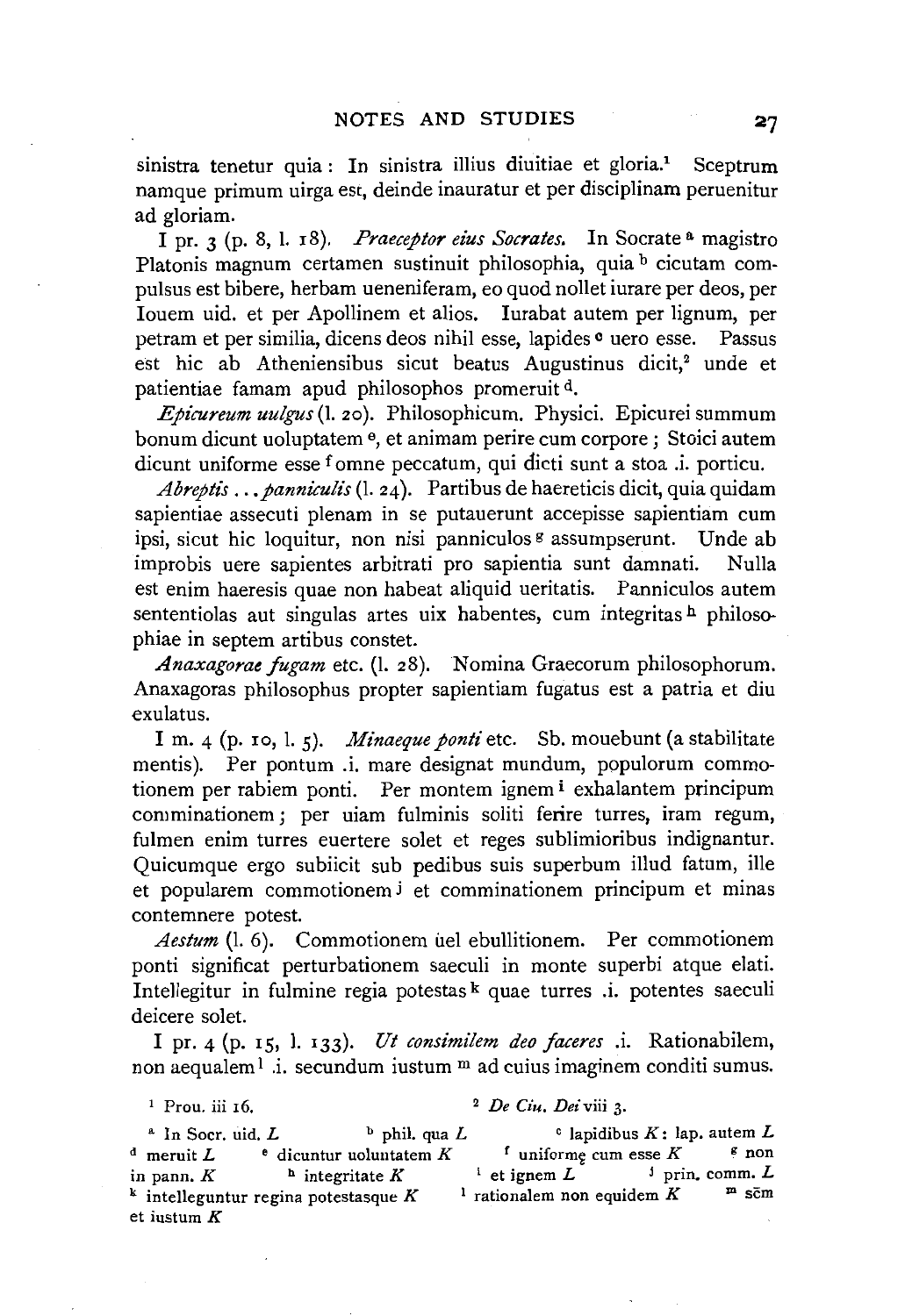sinistra tenetur quia : In sinistra illius diuitiae et gloria.<sup>1</sup> Sceptrum namque primum uirga est, deinde inauratur et per disciplinam peruenitur ad gloriam.

I pr. 3 (p. 8, l. 18). *Praeceptor eius Socrates*. In Socrate <sup>a</sup> magistro Platonis magnum certamen sustinuit philosophia, quia b cicutam compulsus est bibere, herbam ueneniferam, eo quod nollet iurare per deos, per Iouem uid. et per Apollinem et alios. Iurabat autem per lignum, per petram et per similia, dicens deos nihil esse, Iapides o uero esse. Passus est hic ab Atheniensibus sicut beatus Augustinus dicit,<sup>2</sup> unde et patientiae famam apud philosophos promeruit<sup>d</sup>.

*Epicureum uulgus* (I. 20 ). Philosophicum. Physici. Epicurei summum bonum dicunt uoluptatem e, et animam perire cum corpore ; Stoici autem dicunt uniforme esse f omne peccatum, qui dicti sunt a stoa .i. porticu.

*Abreptis ... panniculis* (1. 24). Partibus de haereticis dicit, quia quidam sapientiae assecuti plenam in se putauerunt accepisse sapientiam cum ipsi, sicut hie loquitur, non nisi panniculos  $\frac{1}{2}$  assumpserunt. Unde ab improbis uere sapientes arbitrati pro sapientia sunt damnati. Nulla est enim haeresis quae non habeat aliquid ueritatis. Panniculos autem sententiolas aut singulas artes uix habentes, cum integritas  $h$  philosophiae in septem artibus constet.

*Anaxagorae fugam* etc. (I. 28). Nomina Graecorum philosophorum. Anaxagoras philosophus propter sapientiam fugatus est a patria et diu exulatus.

I m. 4 (p. ro, I. 5). *Minaeque ponti* etc. Sb. mouebunt (a stabilitate mentis). Per pontum .i. mare designat mundum, populorum commotionem per rabiem ponti. Per montem ignem i exhalantem principum comminationem; per uiam fulminis soliti ferire turres, iram regum, fulmen enim turres euertere solet et reges sublimioribus indignantur. Quicumque ergo subiicit sub pedibus suis superbum illud fatum, ille et popularem commotionem j et comminationem principum et minas contemnere potest.

Aestum (l. 6). Commotionem uel ebullitionem. Per commotionem ponti significat perturbationem saeculi in monte superbi atque elati. Intellegitur in fulmine regia potestas  $k$  quae turres .i. potentes saeculi deicere solet.

I pr. 4 (p. 15, l. 133). *Ut consimilem deo faceres* .i. Rationabilem, non aequalem<sup>1</sup> .i. secundum iustum  $m$  ad cuius imaginem conditi sumus.

<sup>1</sup> Prou. iii 16.  $2 \text{ } De \text{ } Ciu$ .  $De \text{ } Ciu$ .  $Dei$  viii 3.

<sup>a</sup> In Socr. uid. L b phil. qua L c lapidibus K: lap. autem L meruit L c icuntur uoluntatem K f uniforme cum esse K f non <sup>d</sup> meruit *L*  $\bullet$  dicuntur uoluntatem *K* in pann. *K* **b** integritate *K* **d** is et ignem *L* **b** prin. comm. *L* **k** intelleguratur region potestasque *K* **l** rationalem non equidem *K* **m** som <sup>k</sup> intelleguntur regina potestasque  $K$ <sup>1</sup> rationalem non equidem  $K$ et iustum K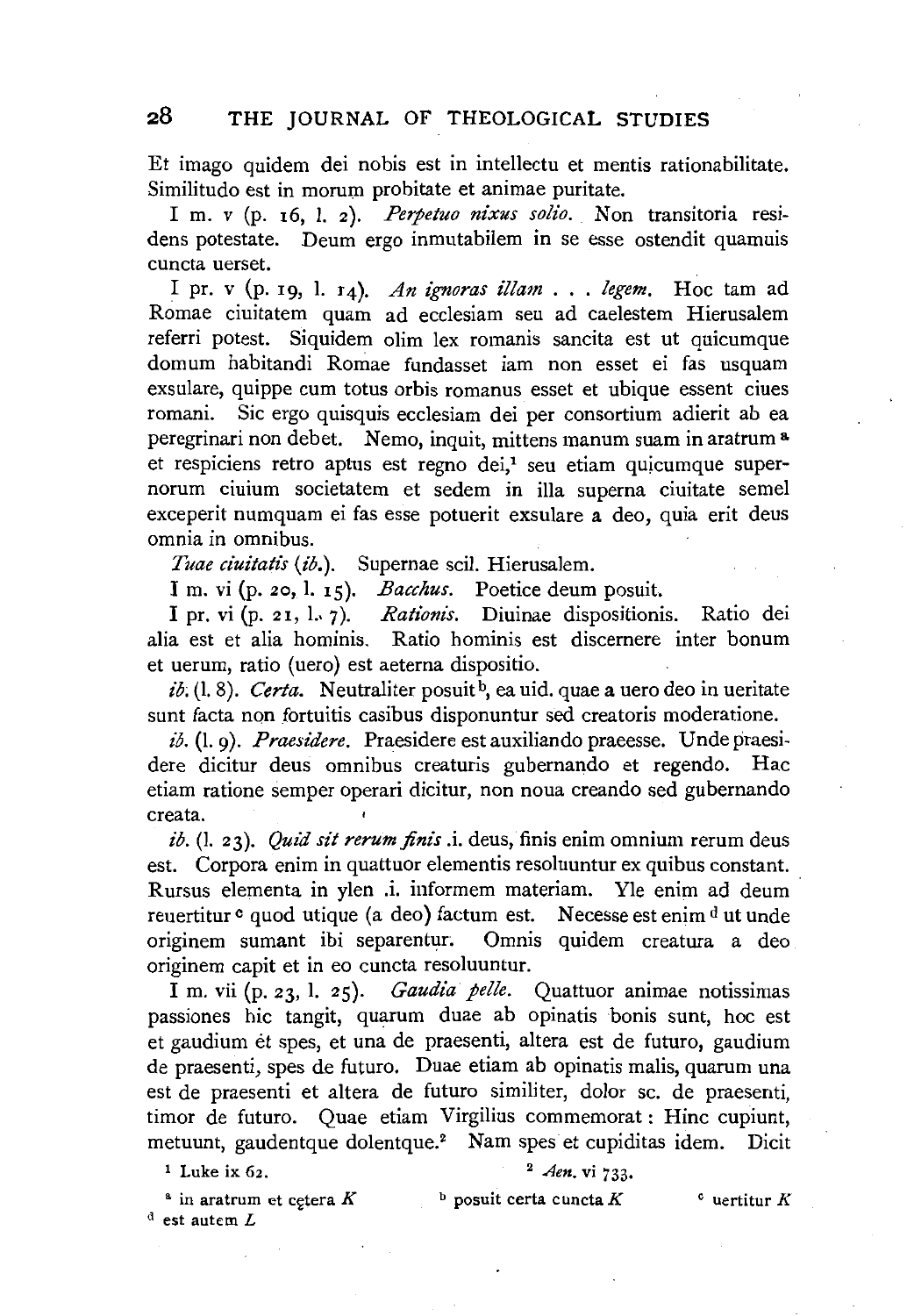Et imago quidem dei nobis est in intellectu et mentis rationabilitate. Similitudo est in morum probitate et animae puritate.

I m. v (p. 16, l. 2). *Perpetuo nixus solio*. Non transitoria residens potestate. Deum ergo inmutabilem in se esse ostendit quamuis cuncta uerset.

I pr. v (p. 19, 1. r4). *An ignoras illam* ... *legem.* Hoc tam ad Romae ciuitatem quam ad ecclesiam seu ad caelestem Hierusalem referri potest. Siquidem olim lex romanis sancita est ut quicumque domum habitandi Romae fundasset iam non esset ei fas usquam exsulare, quippe cum totus orbis romanus esset et ubique essent ciues romani. Sic ergo quisquis ecclesiam dei per consortium adierit ab ea peregrinari non debet. Nemo, inquit, mittens manum suam in aratrum a. et respiciens retro aptus est regno dei,<sup>1</sup> seu etiam quicumque supernorum ciuium societatem et sedem in ilia superna ciuitate semel exceperit numquam ei fas esse potuerit exsulare a deo, quia erit deus omnia in omnibus.

*Tuae ciuitati's (£b.).* Supernae scil. Hierusalem.

I m. vi (p. 20, 1. 15). *Bacchus.* Poetice deum posuit.

I pr. vi (p. 21, L 7). *Rationis.* Diuinae dispositionis. Ratio dei alia est et alia hominis. Ratio hominis est discernere inter bonum et uerum, ratio (uero) est aeterna dispositio.

 $i\delta$ , (1, 8). *Certa*. Neutraliter posuit<sup>b</sup>, ea uid. quae a uero deo in ueritate sunt facta non fortuitis casibus disponuntur sed creatoris moderatione.

ib. (l. 9). *Praesidere*. Praesidere est auxiliando praeesse. Unde praesidere dicitur deus omnibus creaturis gubernando et regendo. Hac etiam ratione semper operari dicitur, non noua creando sed gubernando creata.

*ib.* (1. 23). *Quid sit rerum finis* .i. deus, finis enim omnium rerum deus est. Corpora enim in quattuor elementis resoluuntur ex quibus constant. Rursus elementa in ylen .i. informem materiam. Yle enim ad deum reuertitur <sup>c</sup> quod utique (a deo) factum est. Necesse est enim <sup>d</sup> ut unde originem sumant ibi separentur; Omnis quidem creatura a deo originem capit et in eo cuncta resoluuntur.

I m. vii (p. 23, 1. 25). *Gaudia pelle.* Quattuor animae notissimas passiones hie tangit, quarum duae ab opinatis bonis sunt, hoc est et gaudium et spes, et una de praesenti, altera est de futuro, gaudium de praesenti, spes de futuro. Duae etiam ab opinatis malis, quarum una est de praesenti et altera de futuro similiter, dolor sc. de praesenti, timor de futuro. Quae etiam Virgilius commemorat : Hinc cupiunt, metuunt, gaudentque dolentque.<sup>2</sup> Nam spes et cupiditas idem. Dicit

 $1$  Luke ix  $62$ .

## <sup>2</sup>*Aen.* vi 733·

 $*$  in aratrum et cetera  $K$  $d$  est autem  $L$  $\Phi$  posuit certa cuncta K curtitur K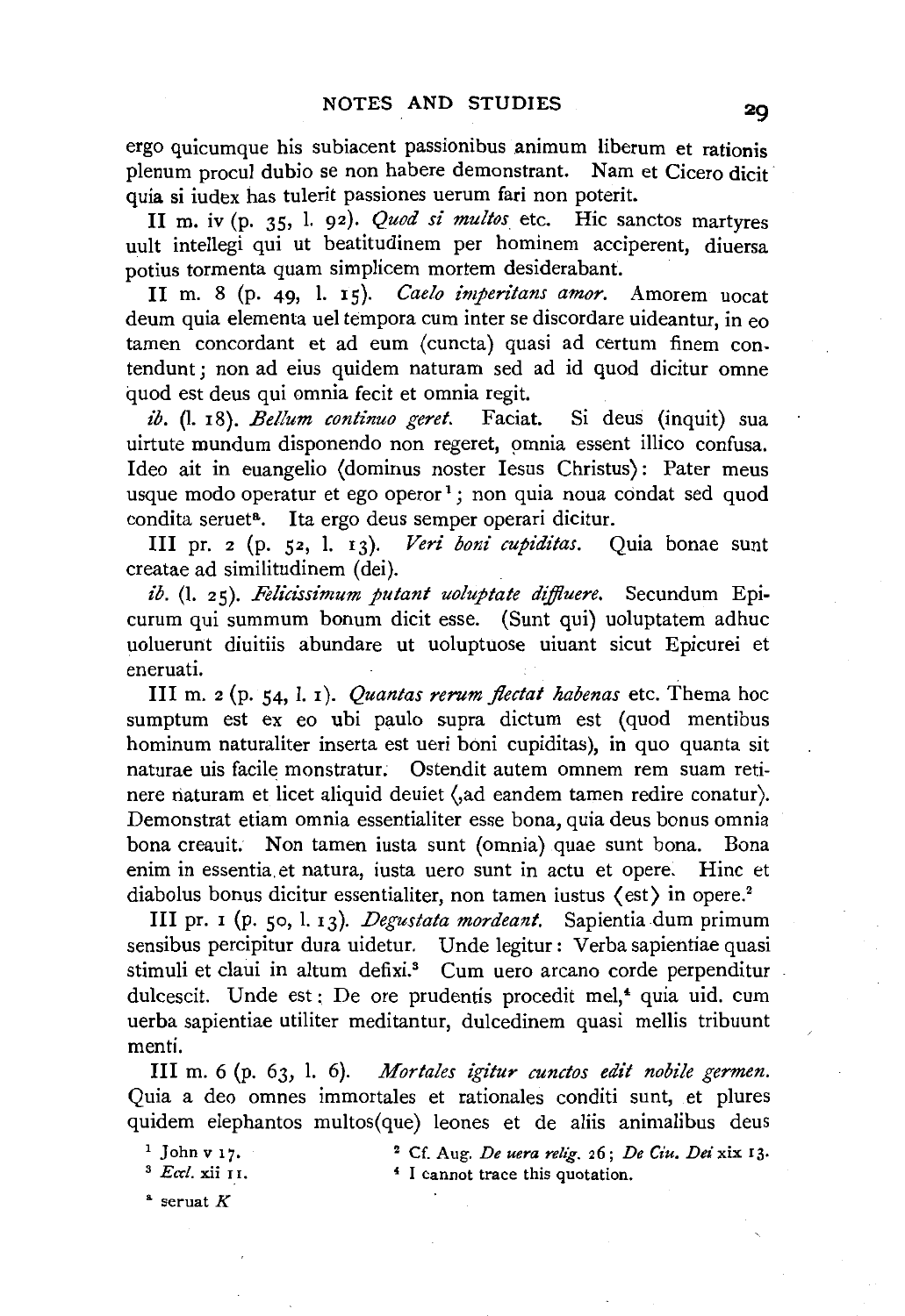ergo quicumque his subiacent passionibus animum liberum et rationis plenum procul dubio se non habere demonstrant. Nam et Cicero dicit quia si iudex has tulerit passiones uerum fari non poterit.

II m. iv (p. 35, 1. 92). *Quod si multos* etc. Hie sanctos martyres uult intellegi qui ut beatitudinem per hominem acciperent, diuersa potius tormenta quam simplicem mortem desiderabant.

II m. 8 (p. 49, l. 15). *Caelo imperitans amor.* Amorem uocat deum quia elementa uel tempora cum inter se discordare uideantur, in eo tamen concordant et ad eum (cuncta) quasi ad certum finem contendunt ; non ad eius quidem naturam sed ad id quod dicitur omne quod est deus qui omnia fecit et omnia regit.

*ib.* (l. r8). *Bellum continuo geret.* Faciat. Si deus (inquit) sua uirtute mundum disponendo non regeret, omnia essent illico confusa. Ideo ait in euangelio (dominus noster Iesus Christus): Pater meus usque modo operatur et ego operor<sup>1</sup>; non quia noua condat sed quod condita seruet<sup>a</sup>. Ita ergo deus semper operari dicitur.

III pr. 2 (p. 52, l. I3)· *Veri boni cupiditas.* Quia bonae sunt creatae ad similitudinem (dei).

*ib.* (1. 25). *Felicissimum putant uoluptate diffluere*. Secundum Epicurum qui summum bonum dicit esse. (Sunt qui) uoluptatem adhuc uoluerunt diuitiis abundare ut uoluptuose uiuant sicut Epicurei et eneruati.

III m. 2 (p. 54, l. I). *Quantas rerum jlectat kabenas* etc. Thema hoc sumptum est ex eo ubi paulo supra dictum est (quod mentibus hominum naturaliter inserta est ueri boni cupiditas), in quo quanta sit naturae uis facile monstratur. Ostendit autem omnem rem suam retinere naturam et licet aliquid deuiet (,ad eandem tamen redire conatur). Demonstrat etiam omnia essentialiter esse bona, quia deus bonus omnia bona creauit. Non tamen iusta sunt (omnia) quae sunt bona. Bona enim in essentia. et natura, iusta uero sunt in actu et opere. Hinc et diabolus bonus dicitur essentialiter, non tamen iustus (est) in opere.<sup>2</sup>

III pr. I (p. so, l. I3). *Degustata mordeant.* Sapientia dum primum sensibus percipitur dura uidetur. Unde legitur: Verba sapientiae quasi stimuli et claui in altum defixi.<sup>3</sup> Cum uero arcano corde perpenditur dulcescit. Unde est : De ore prudentis procedit mel,<sup>4</sup> quia uid. cum uerba sapientiae utiliter meditantur, dulcedinem quasi mellis tribuunt menti.

III m. 6 (p. 63, l. 6). *Mortales igitur cunctos edit nobile germen.*  Quia a deo omnes immortales et rationales conditi sunt, et plures quidem elephantos multos(que) leones et de aliis animalibus deus

1 John v 17. 3 *Eccl.* xii II.

2 Cf. Aug. *De uera relig.* 26; *De Ciu. Dei* xix 13. 4 I cannot trace this quotation.

 $*$  seruat  $K$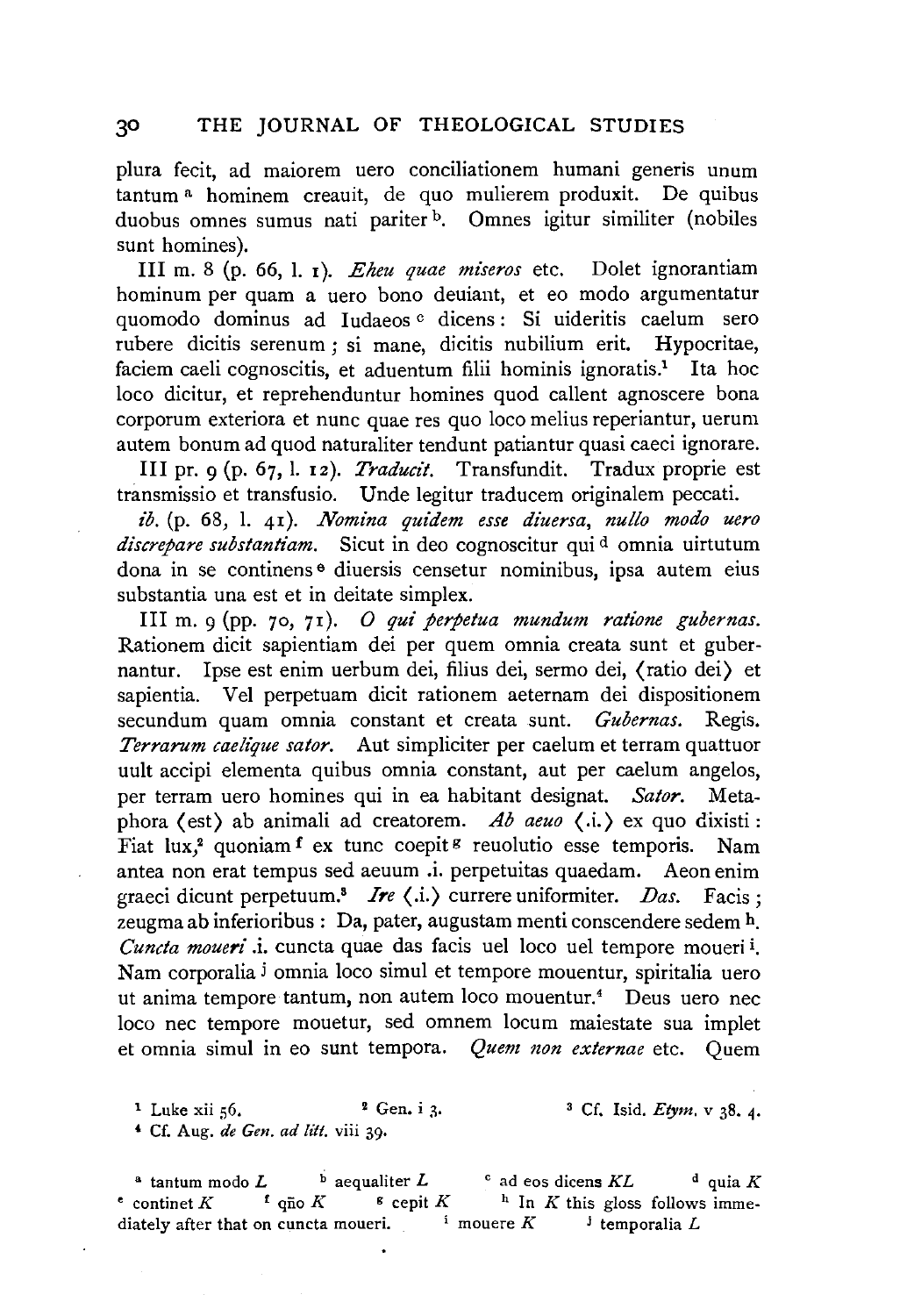plura fecit, ad maiorem uero conciliationem humani generis unum tantum a hominem creauit, de quo mulierem produxit. De quibus duobus omnes sumus nati pariter <sup>b</sup>. Omnes igitur similiter (nobiles sunt homines).

III m. 8 (p. 66, I. 1). *Eheu quae miseros* etc. Dolet ignorantiam hominum per quam a uero bono deuiant, et eo modo argumentatur quomodo dominus ad Iudaeos c dicens: Si uideritis caelum sero rubere dicitis serenum ; si mane, dicitis nubilium erit. Hypocritae, faciem caeli cognoscitis, et aduentum filii hominis ignoratis.<sup>1</sup> Ita hoc loco dicitur, et reprehenduntur homines quod callent agnoscere bona corporum exteriora et nunc quae res quo loco melius reperiantur, uerum autem bonum ad quod naturaliter tendunt patiantur quasi caeci ignorare.

III pr. 9 (p. 67, I. 12). *Traducit.* Transfundit. Tradux proprie est transmissio et transfusio. Unde legitur traducem originalem peccati.

ib. (p. 68, l. 41). *Nomina quidem esse diuersa*, nullo modo uero discrepare substantiam. Sicut in deo cognoscitur qui<sup>d</sup> omnia uirtutum dona in se continens e diuersis censetur nominibus, ipsa autem eius substantia una est et in deitate simplex.

III m. 9 (pp. 70, 71). *0 qui perpetua mundum ratione gubernas.*  Rationem dicit sapientiam dei per quem omnia creata sunt et gubernantur. Ipse est enim uerbum dei, filius dei, sermo dei, (ratio dei) et sapientia. Vel perpetuam dicit rationem aeternam dei dispositionem secundum quam omnia constant et creata sunt. *Gubernas.* Regis. *Terrarum caelique sator.* Aut simpliciter per caelum et terram quattuor uult accipi elementa quibus omnia constant, aut per caelum angelos, per terram uero homines qui in ea habitant designat. *Sator.* Metaphora (est) ab animali ad creatorem. *Ab aeuo* ( .i.) ex quo dixisti : Fiat lux,<sup>2</sup> quoniam f ex tunc coepit<sup>g</sup> reuolutio esse temporis. Nam antea non erat tempus sed aeuum .i. perpetuitas quaedam. Aeon enim graeci dicunt perpetuum.<sup>8</sup> *Ire*  $\langle$ .i.) currere uniformiter. *Das.* Facis; zeugma ab inferioribus : Da, pater, augustam menti conscendere sedem h. *Cuncta moueri* .i. cuncta quae das facis uel loco uel tempore moueri i. Nam corporalia i omnia loco simul et tempore mouentur, spiritalia uero ut anima tempore tantum, non autem loco mouentur.<sup>4</sup> Deus uero nec loco nee tempore mouetur, sed omnem locum maiestate sua implet et omnia simul in eo sunt tempora. *Quem non externae* etc. Quem

1 Luke xii 56. <sup>2</sup> Gen. i 3. <sup>3</sup> Cf. Isid. *Etym.*  $\sqrt{38.4}$ . ' Cf. Aug. *de Gen. ad !itt.* viii 39·

<sup>a</sup> tantum modo *L* **b** aequaliter *L* **c** ad eos dicens *KL* **d** quia *K* continet *K* **f** quia *K* **s** cepit *K* **h** In *K* this gloss follows imme- $\epsilon$  continet *K*  $\epsilon$  quantity  $\epsilon$  and  $\epsilon$  **Cepit** *K*  $\epsilon$  **h** In *K* this gloss follows immediately after that on cuncta moueri.  $\frac{1}{2}$  mouere  $K$  i temporalia L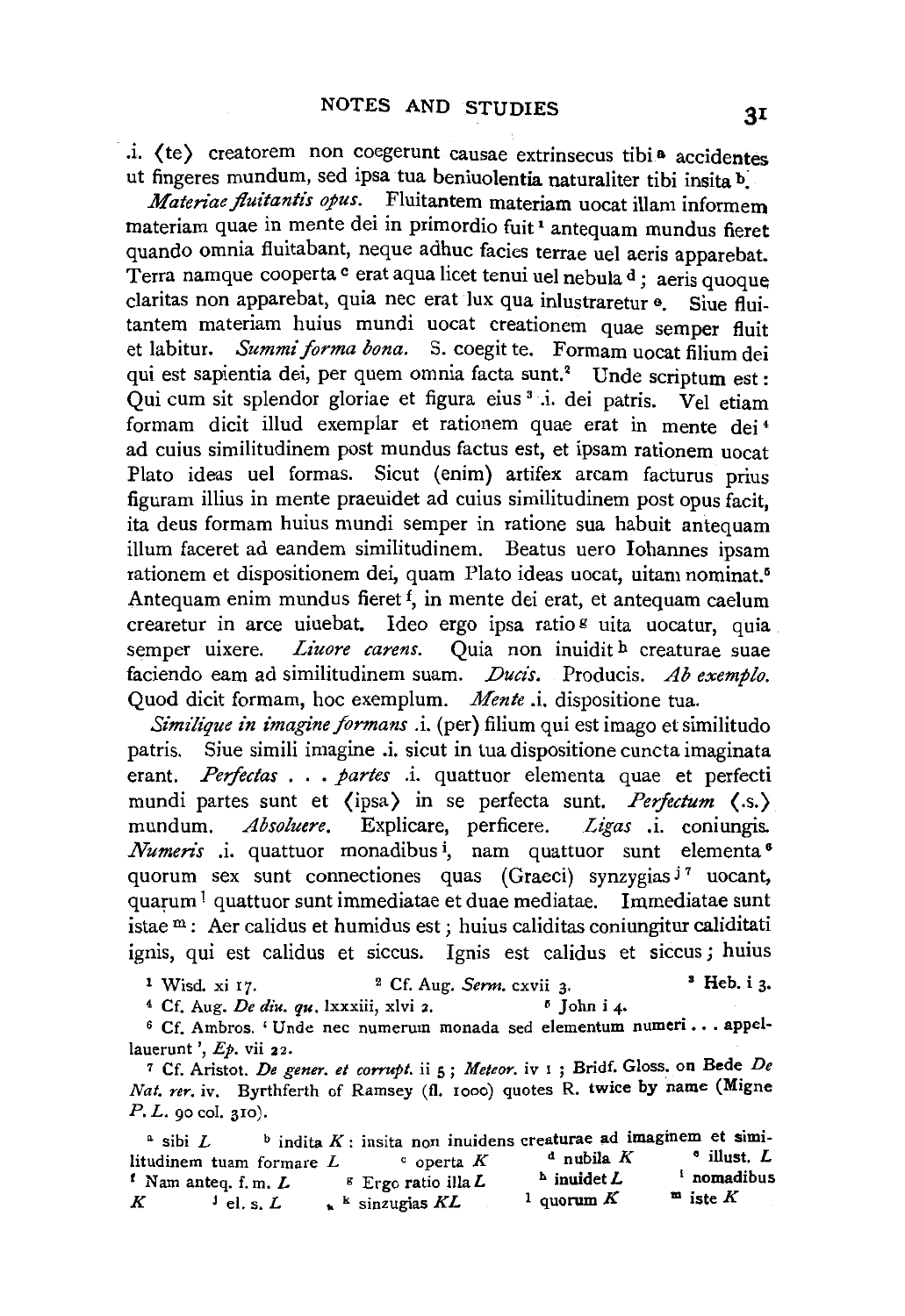· .i. ( te) creatorem non coegerunt causae extrinsecus tibia accidentes ut fingeres mundum, sed ipsa tua beniuolentia naturaliter tibi insita b:

*Materiae fluitantis opus.* Fluitantem materiam uocat illam informem materiam quae in mente dei in primordio fuit 1 antequam mundus fieret quando omnia fluitabant, neque adhuc facies terrae uel aeris apparebat. Terra namque cooperta c erat aqua licet tenui uel nebula d; aeris quoque claritas non apparebat, quia nee erat lux qua inlustraretur e. Siue fiuitantem materiam huius mundi uocat creationem quae semper fluit et labitur. *Summi forma bona.* S. coegit te. Formam uocat filium dei qui est sapientia dei, per quem omnia facta sunt.<sup>2</sup> Unde scriptum est : Qui cum sit splendor gloriae et figura eius 3 .i. dei patris. Vel etiam formam dicit illud exemplar et rationem quae erat in mente dei 4 ad cuius similitudinem post mundus factus est, et ipsam rationem uocat Plato ideas uel formas. Sicut (enim) artifex arcam facturus prius figuram illius in mente praeuidet ad cuius similitudinem post opus facit, ita deus formam huius mundi semper in ratione sua habuit antequam illum faceret ad eandem similitudinem. Beatus uero Johannes ipsam rationem et dispositionem dei, quam Plato ideas uocat, uitam nominat.<sup>5</sup> Antequam enim mundus fieret f, in mente dei erat, et antequam caelum crearetur in arce uiuebat. Ideo ergo ipsa ratio <sup>g</sup> uita uocatur, quia semper uixere. *Liuore carens*. Ouia non inuidit h creaturae suae faciendo eam ad similitudinem suam. *Ducis*. Producis. Ab exemplo. Quod dicit formam, hoc exemplum. *Mente* .i. dispositione tua.

*Similique in imagine formans .i.* (per) filium qui est imago et similitudo patris. Siue simili imagine .i. sicut in tua dispositione cuncta imaginata erant. *Perfectas* . . . *partes* . . quattuor elementa quae et perfecti mundi partes sunt et (ipsa) in se perfecta sunt. *Perfectum* (.s.) mundum. *Absoluere.* Explicare, perficere. *Ligas* .i. coniungis. *Numeris* .i. quattuor monadibus<sup>i</sup>, nam quattuor sunt elementa<sup>6</sup> quorum sex sunt connectiones quas (Graeci) synzygias  $j^7$  uocant, quarum I quattuor sunt immediatae et duae mediatae. lmmediatae sunt istae m : Aer calidus et humidus est ; huius caliditas coniungitur caliditati ignis, qui est calidus et siccus. Ignis est calidus et siccus ; huius

<sup>1</sup> Wisd. xi 17. <sup>2</sup> Cf. Aug. *Serm.* cxvii 3. <sup>3</sup> Heb. i 3.

 $4$  Cf. Aug. *De diu. qu.* lxxxiii, xlvi 2.  $5$  John i 4.

6 Cf. Ambros. 'Unde nee numerum monada sed elementum numeri • • · appel· lauerunt',  $E_p$ , vii 22.

7 Cf. Aristot. *De gener. et corrupt.* ii 5 ; *Meteor.* iv I ; Bridf. Gloss. on Bede *De Nat. rer.* iv. Byrthferth of Ramsey (fl. rooo) quotes R. twice by name (Migne P. *L. go* col. 310).

<sup>a</sup> sibi *L* b indita K : insita non inuidens creaturae ad imaginem et simi-<br>while K a public K a public K a illust L Iitudinem tuam formare  $L$  c operta  $K$ <br><sup>*t*</sup> Nam anteq. *f.* m.  $L$  <sup>g</sup> Ergo ratio illa  $L$ <sup>f</sup> Nam anteq. f.m.  $L$  • Ergo ratio illa  $L$  $K$  <sup>J</sup> el. s.  $L$   $\star$  <sup>k</sup> sinzugias  $KL$  $d$  nubila  $K$  $h$  inuidet  $L$ 1 quorum  $K$ 1 nomadibus  $m$  iste K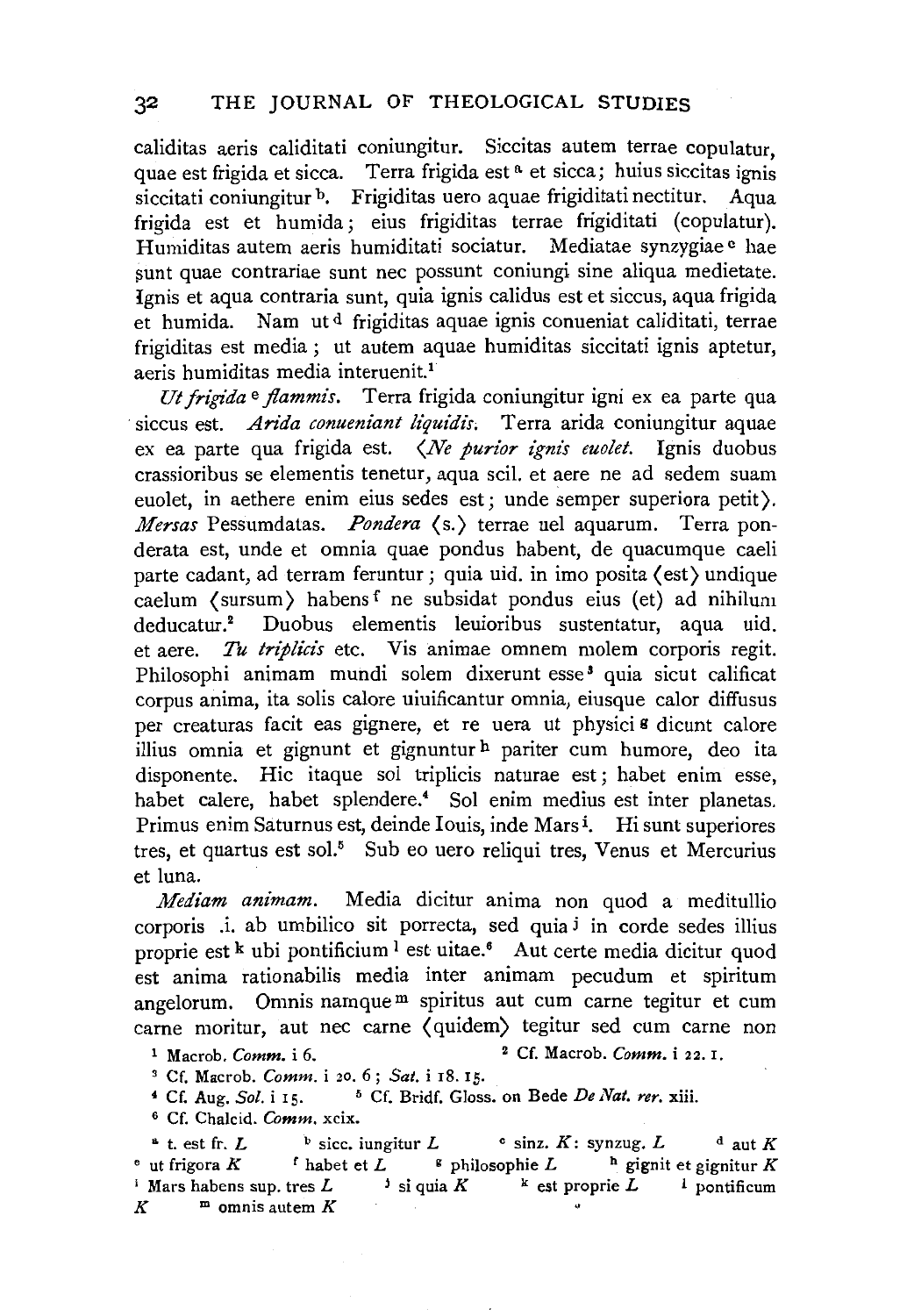caliditas aeris caliditati coniungitur. Siccitas autem terrae copulatur, quae est frigida et sicca. Terra frigida est<sup>a</sup> et sicca; huius siccitas ignis siccitati coniungitur <sup>b</sup>. Frigiditas uero aquae frigiditati nectitur. Aqua frigida est et humida; eius frigiditas terrae frigiditati (copulatur). Humiditas autem aeris humiditati sociatur. Mediatae synzygiae <sup>c</sup> hae sunt quae contrariae sunt nec possunt coniungi sine aliqua medietate. Ignis et aqua contraria sunt, quia ignis calidus est et siccus, aqua frigida et humida. Nam ut d frigiditas aquae ignis conueniat caliditati, terrae frigiditas est media ; ut autem aquae humiditas siccitati ignis aptetur, aeris humiditas media interuenit.<sup>1</sup>

*Ut frigida* e *flammis.* Terra frigida coniungitur igni ex ea parte qua siccus est. *Arida conueniant liquidis*. Terra arida coniungitur aquae ex ea parte qua frigida est. *(Ne purior ignis euolet.* Ignis duobus crassioribus se elementis tenetur, aqua scil. et aere ne ad sedem suam euolet, in aethere enim eius sedes est; unde semper superiora petit). *Mersas* Pessumdatas. *Pondera* ( s.) terrae uel aquarum. Terra ponderata est, unde et omnia quae pondus habent, de quacumque caeli parte cadant, ad terram feruntur; quia uid. in imo posita (est) undique caelum (sursum) habens f ne subsidat pondus eius (et) ad nihilum deducatur.<sup>2</sup> Duobus elementis leuioribus sustentatur, aqua uid. et aere. *Tu triplicis* etc. Vis animae omnem molem corporis regit. Philosophi animam mundi solem dixerunt esse<sup>3</sup> quia sicut calificat corpus anima, ita solis calore uiuificantur omnia, eiusque calor diffusus per creaturas facit eas gignere, et re uera ut physici<sup>s</sup> dicunt calore illius omnia et gignunt et gignuntur h pariter cum humore, deo ita disponente. Hie itaque sol triplicis naturae est ; habet enim esse, habet calere, habet splendere.<sup>4</sup> Sol enim medius est inter planetas. Primus enim Saturnus est, deinde Iouis, inde Mars<sup>1</sup>. Hi sunt superiores tres, et quartus est sol.<sup>5</sup> Sub eo uero reliqui tres, Venus et Mercurius et luna.

*Mediam animam.* Media dicitur anima non quod a meditullio corporis .i. ab umbilico sit porrecta, sed quia i in corde sedes illius proprie est k ubi pontificium <sup>1</sup> est uitae.<sup>6</sup> Aut certe media dicitur quod est anima rationabilis media inter animam pecudum et spiritum angelorum. Omnis namque m spiritus aut cum carne tegitur et cum carne moritur, aut nee carne ( quidem) tegitur sed cum carne non

t Macrob. *Comm.* i 6. 2 Cf. Macrob. *Comm.* i 22. 1.

3 Cf. Macrob. *Comm.* i 20. 6; *Sat.* i 18. 15.

4 Cf. Aug. *Sol.* irs. 6 Cf. Bridf. Gloss. on Bede *De Nat. rer.* xiii.

6 Cf. Chalcid. *Comm.* xcix.

 $\Delta$  t. est fr. *L* b sicc. iungitur *L* c sinz. *K*: synzug. *L* d aut *K*  $\epsilon$  ut frigora *K* **f** habet et *L*  $\epsilon$  philosophie *L* **h** gignit et gignitur *K* <sup>i</sup> Mars habens sup. tres *L* <sup>i</sup> si quia *K* <sup>k</sup> est proprie *L* <sup>1</sup> pontificum  $K$ <sup>m</sup> omnis autem  $K$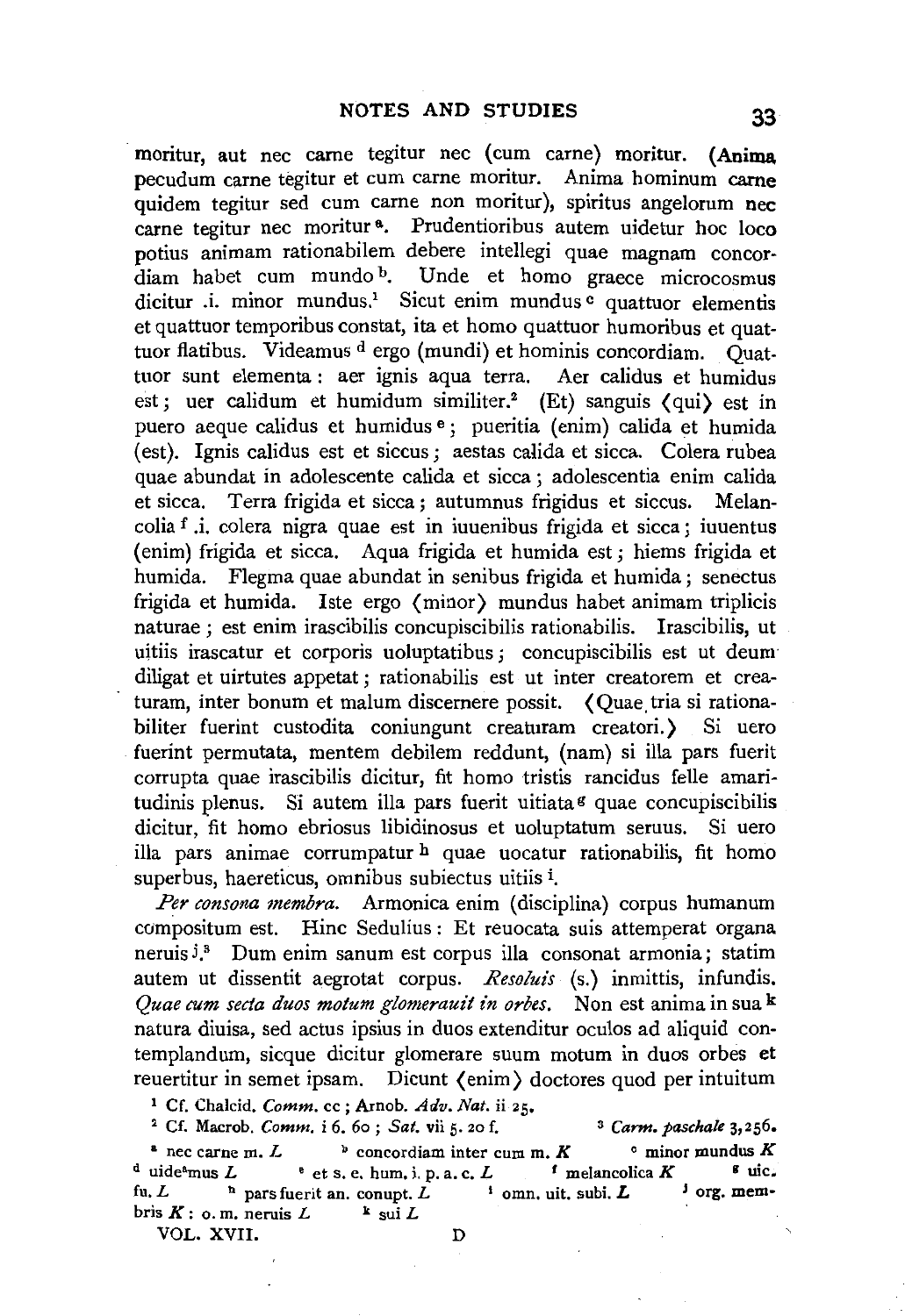moritur, aut nee came tegitur nee (cum carne) moritur. (Anima. pecudum carne tegitur et cum carne moritur. Anima hominum carne quidem tegitur sed cum carne non moritur), spiritus angelorum nec carne tegitur nec moritur<sup>a</sup>. Prudentioribus autem uidetur hoc loco potius animam rationabilem debere intellegi quae magnam concordiam habet cum mundo b. Unde et homo graece microcosmus dicitur .i. minor mundus.<sup>1</sup> Sicut enim mundus  $\frac{c}{c}$  quattuor elementis et quattuor temporibus constat, ita et homo quattuor humoribus et quattuor flatibus. Videamus d ergo (mundi) et hominis concordiam. Quattuor sunt elementa : aer ignis aqua terra. Aer calidus et humidus est; uer calidum et humidum similiter.<sup>2</sup> (Et) sanguis  $\langle \text{qui} \rangle$  est in puero aeque calidus et humidus e; pueritia (enim) calida et humida (est). Ignis calidus est et siccus; aestas calida et sicca. Colera rubea quae abundat in adolescente calida et sicca ; adolescentia enim calida et sicca. Terra frigida et sicca; autumnus frigidus et siccus. Melancolia f .i. colera nigra quae est in iuuenibus frigida et sicca ; iuuentus (enim) frigida et sicca. Aqua frigida et humida est; hiems frigida et humida. Flegma quae abundat in senibus frigida et humida; senectus frigida et humida. Iste ergo (minor) mundus habet animam triplicis naturae ; est enim irascibilis concupiscibilis rationabilis. Irascibilis, ut uitiis irascatur et corporis uoluptatibus ; concupiscibilis est ut deum diligat et uirtutes appetat ; rationabilis est ut inter creatorem et creaturam, inter bonum et malum discernere possit. (Quae tria si rationabiliter fuerint custodita coniungunt creaturam creatori.) Si uero fuerint permutata, mentem debilem reddunt, (nam) si ilia pars fuerit corrupta quae irascibilis dicitur, fit homo tristis rancidus felle amaritudinis plenus. Si autem illa pars fuerit uitiata<sup>g</sup> quae concupiscibilis dicitur, fit homo ebriosus libidinosus et uoluptatum seruus. Si uero ilia pars animae corrumpatur h quae uocatur rationabilis, fit homo superbus, haereticus, omnibus subiectus uitiis i.

*Per consona membra.* Armonica enim (disciplina) corpus humanum compositum est. Hinc Sedulius : Et reuocata suis attemperat organa neruis<sup>j.</sup> Dum enim sanum est corpus illa consonat armonia; statim autem ut dissentit aegrotat corpus. *Resoluis* (s.) inmittis, infundis. *Quae cum secta duos motum glomerauit in orbes.* Non est anima in sua k natura diuisa, sed actus ipsius in duos extenditur oculos ad aliquid contemplandum, sicque dicitur glomerare suum motum in duos orbes et reuertitur in semet ipsam. Dicunt  $\{\text{enim}\}\$  doctores quod per intuitum<br><sup>1</sup> Cf. Chalcid. *Comm.* cc; Arnob. *Adv. Nat.* ii 25.<br><sup>2</sup> Cf. Macrob. *Comm.* i 6. 6o ; *Sat.* vii 5. 20 f. <sup>3</sup> Carm. paschale 3,256.

<sup>a</sup> nec carne m. *L* b concordiam inter cum m. *K* c minor mundus *K* d uide<sup>a</sup>mus *L* e t s, e, hum, i, p, a, c, *L* f melancolica *K* <sup>g</sup> uic. <sup>d</sup>uideamus *L* • et s. e. hum, i. p. a. c. *L 1* melancolica *K* g uic, fu. L h pars fuerit an. conupt. L bris  $K:$  o. m. neruis  $L$   $k$  sui  $L$ 

VOL. XVII. D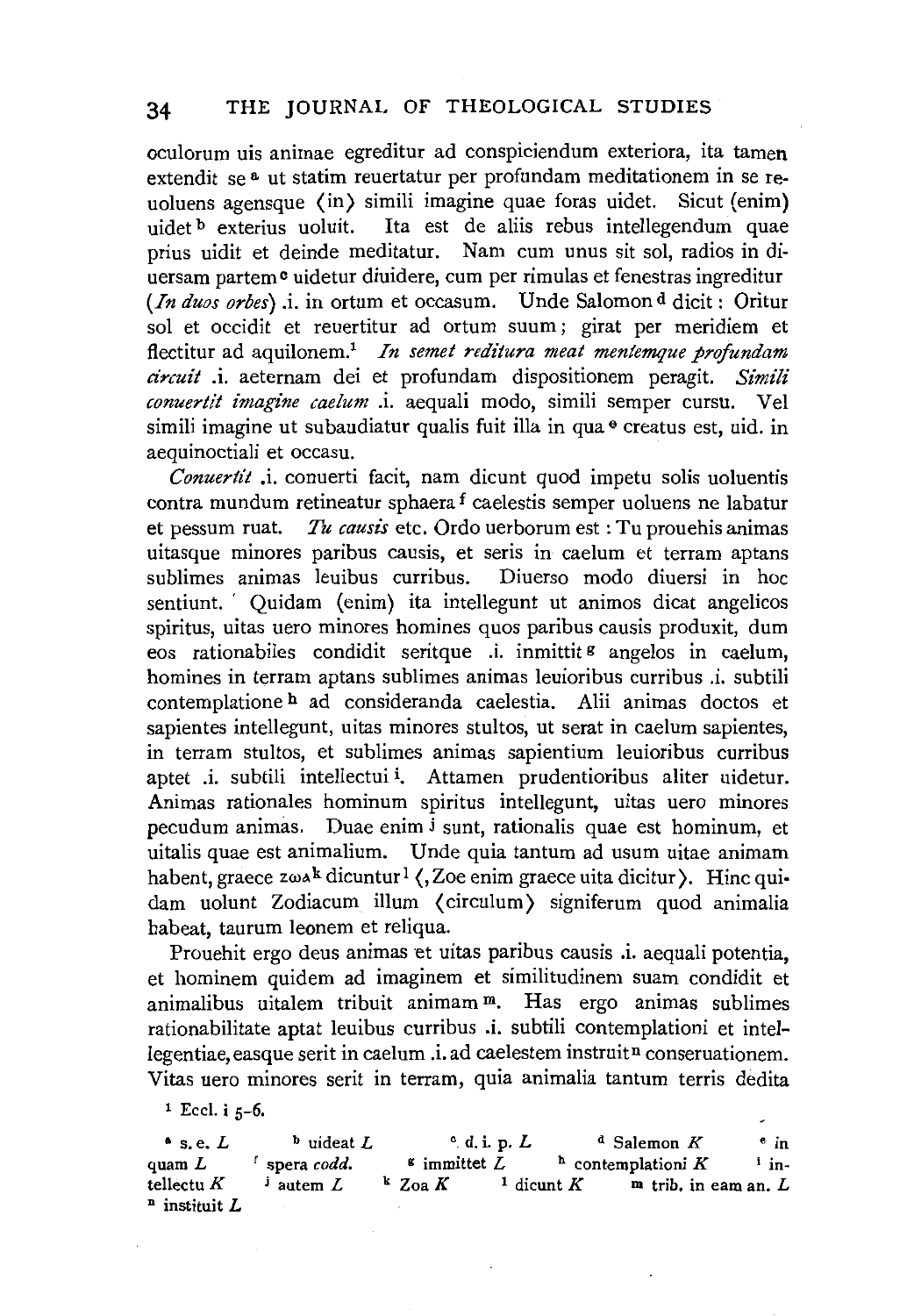oculorum uis animae egreditur ad conspiciendum exteriora, ita tamen extendit se<sup>8</sup> ut statim reuertatur per profundam meditationem in se reuoluens agensque (in) simili imagine quae foras uidet. Sicut (enim) uidet b exterius uoluit. Ita est de aliis rebus intellegendum quae prius uidit et deinde meditatur. Nam cum unus sit sol, radios in diuersam partem<sup>o</sup> uidetur diuidere, cum per rimulas et fenestras ingreditur *(In duos orbes)* .i. in ortum et occasum. Unde Salomon d dicit: Oritur sol et occidit et reuertitur ad ortum suum; girat per meridiem et flectitur ad aquilonem.1 *In semet reditura meat mentemque profundam circuit* .i. aeternam dei et profundam dispositionem peragit. *Simili conuertit imagine caelum* .i. aequali modo, simili semper cursu. Vel simili imagine ut subaudiatur qualis fuit illa in qua $\theta$  creatus est, uid. in aequinoctiali et occasu.

*Conuertit* .i. conuerti facit, nam dicunt quod impetu solis uoluentis contra mundum retineatur sphaera f caelestis semper uoluens ne labatur et pessum ruat. *Tu causis* etc. Ordo uerborum est : Tu prouehis animas uitasque minores paribus causis, et seris in caelum et terram aptans sublimes animas leuibus curribus. Diuerso modo diuersi in hoc sentiunt. ' Quidam (enim) ita intellegunt ut animos dicat angelicos spiritus, uitas uero minores homines quos paribus causis produxit, dum eos rationabiles condidit seritque .i. inmittit <sup>g</sup> angelos in caelum. homines in terram aptans sublimes animas leuioribus curribus .i. subtili contemplatione h ad consideranda caelestia. Alii animas doctos et sapientes intellegunt, uitas minores stultos, ut serat in caelum sapientes, in terram stultos, et sublimes animas sapientium leuioribus curribus aptet .i. subtili intellectui i. Attamen prudentioribus aliter uidetur. Animas rationales hominum spiritus intellegunt, uitas uero minores pecudum animas. Duae enim j sunt, rationalis quae est hominum, et uitalis quae est animalium. Unde quia tantum ad usum uitae animam habent, graece  $z\omega A^k$  dicuntur<sup>1</sup> (, Zoe enim graece uita dicitur). Hinc quidam uolunt Zodiacum ilium ( circulum) signiferum quod animalia habeat, taurum leonem et reliqua.

Prouehit ergo deus animas et uitas paribus causis .i. aequali potentia, et hominem quidem ad imaginem et similitudinem suam condidit et animalibus uitalem tribuit animam m. Has ergo animas sublimes rationabilitate aptat leuibus curribus .i. subtili contemplationi et intellegentiae, easque serit in caelum .i. ad caelestem instruit<sup>n</sup> conseruationem. Vitas uero minores serit in terram, quia animalia tantum terris dedita

 $1$  Eccl. i  $5-6$ .

• s.e. *L*  quam *L*  tellectu K  $n$  instituit L <sup>b</sup>uideat *L*  r spera *codd.*   $\frac{1}{2}$  autem  $L$ e d. i. p. *L*  $d$  Salemon *K*  $\cdot$  in<br> **s** immitted *L*  $\cdot$  contemplation *K*  $\cdot$  in-<sup>h</sup> contemplationi *K* <sup>1</sup> in $k \text{ } Z$ oa  $K$  <sup>1</sup> dicunt  $K$  **m** trib. in earn an.  $L$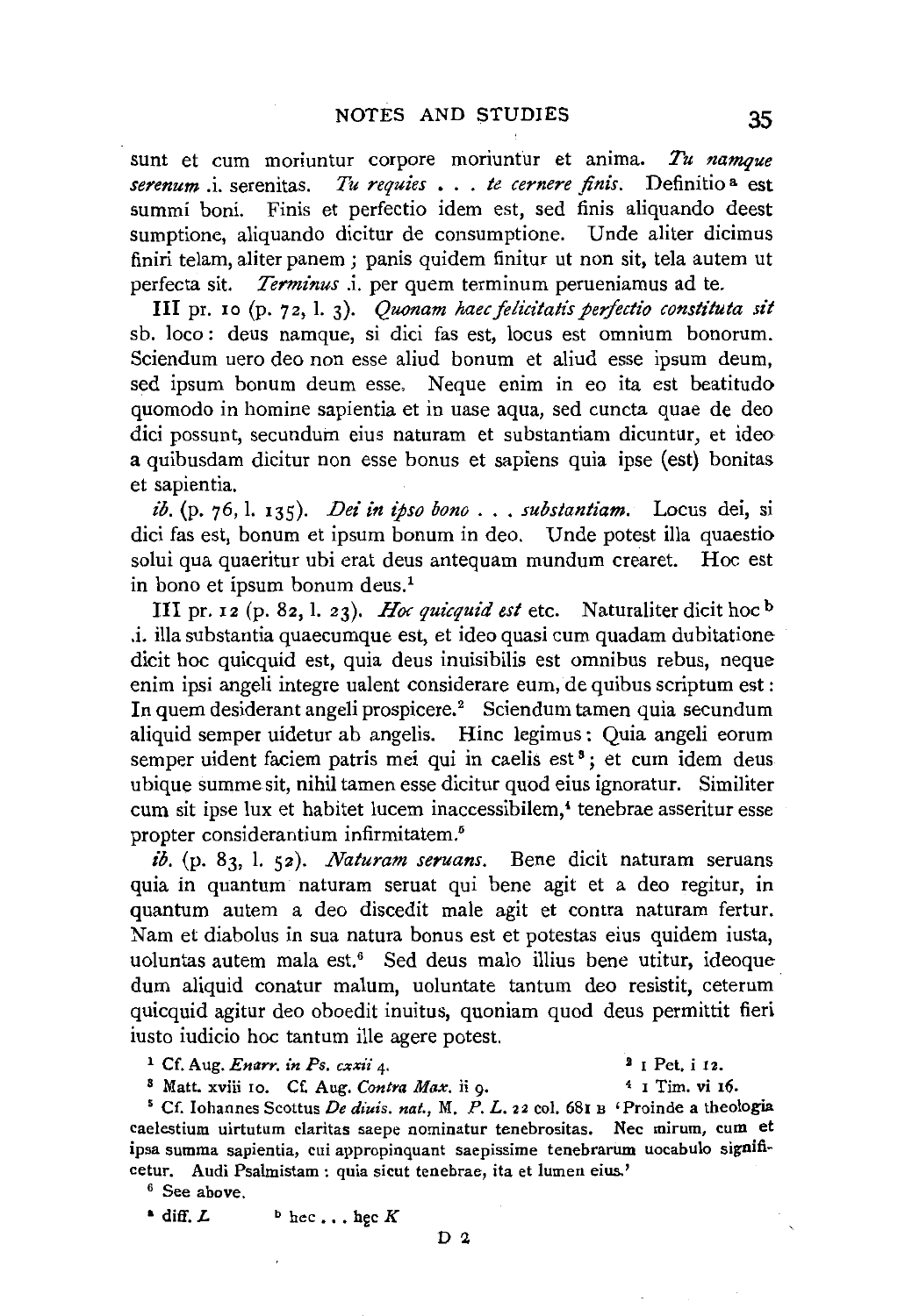sunt et cum moriuntur corpore moriuntur et anima. *Tu namque serenum* .i. serenitas. *Tu requies* • . . *te cernere finis.* Definitio a est summi boni. Finis et perfectio idem est, sed finis aliquando deest sumptione, aliquando dicitur de consumptione. Unde aliter dicimus finiri telam, aliter panem; panis quidem finitur ut non sit, tela autem ut perfecta sit. *Terminus* .i. per quem terminum perueniamus ad te.

III pr. 10 (p. 72, l. 3). *Quonam haec felicitatis perfectio constituta sit* sb. loco : deus namque, si dici fas est, locus est omnium bonorum. Sciendum uero deo non esse aliud bonum et aliud esse ipsum deum, sed ipsum bonum deum esse, Neque enim in eo ita est beatitudo quomodo in homine sapientia et in uase aqua, sed cuncta quae de deo dici possunt, secundum eius naturam et substantiam dicuntur, et ideo a quibusdam dicitur non esse bonus et sapiens quia ipse (est) bonitas et sapientia.

*ib.* (p. 76, I. 135). *Dei in ipso bono* ... *substantiam.* Locus dei, si dici fas est, bonum et ipsum bonum in deo. Unde potest ilia quaestio solui qua quaeritur ubi erat deus antequam mundum crearet. Hoc est in bono et ipsum bonum deus.<sup>1</sup>

III pr. 12 (p. 82, I. 23). *Hoc quicquid est* etc. Naturaliterdicit hoc b .i. ilia substantia quaecumque est, et ideo quasi cum quadam dubitatione dicit hoc quicquid est, quia deus inuisibilis est omnibus rebus, neque enim ipsi angeli integre ualent considerare eum, de quibus scriptum est: In quem desiderant angeli prospicere.<sup>2</sup> Sciendum tamen quia secundum aliquid semper uidetur ab angelis. Hinc legimus: Quia angeli eorum semper uident faciem patris mei qui in caelis est<sup>3</sup>; et cum idem deus ubique summe sit, nihil tamen esse dicitur quod eius ignoratur. Similiter cum sit ipse lux et habitet lucem inaccessibilem,<sup>4</sup> tenebrae asseritur esse propter considerantium infirmitatem.5

*ib.* (p. 83, I. 52). *Naturam seruans.* Bene dicit naturam seruans quia in quantum naturam seruat qui bene agit et a deo regitur, in quantum autem a deo discedit male agit et contra naturam fertur. Nam et diabolus in sua natura bonus est et potestas eius quidem iusta, uoluntas autem mala est.6 Sed deus malo illius bene utitur, ideoque dum aliquid conatur malum, uoluntate tantum deo resistit, ceterum quicquid agitur deo oboedit inuitus, quoniam quod deus permittit fieri iusto iudicio hoc tantum ille agere potest.

<sup>1</sup> Cf. Aug. *Enarr. in Ps. cxxii* 4. <sup>2</sup> I Pet. i 12.<br><sup>3</sup> Matt. xviii 10. Cf. Aug. *Contra Max.* ii 9. <sup>4</sup> I Tim. vi 16.

<sup>8</sup> Matt. xviii 10. Cf. Aug. *Contra Max.* ii 9. <sup>4</sup> I Tim. vi 16.<br><sup>5</sup> Cf. Iohannes Scottus *De diuis. nat.*, M. P. L. 22 col. 68I B 'Proinde a theologia caelestium uirtutum claritas saepe nominatur tenebrositas. Nee mirum, cum et ipsa summa sapientia, cui appropinquant saepissime tenebrarum uocabulo significetur. Audi Psalmistam : quia sicut tenebrae, ita et lumen eius.' 6 See above.

 $\bullet$  diff.  $L$  **b** hec  $\ldots$  hec  $K$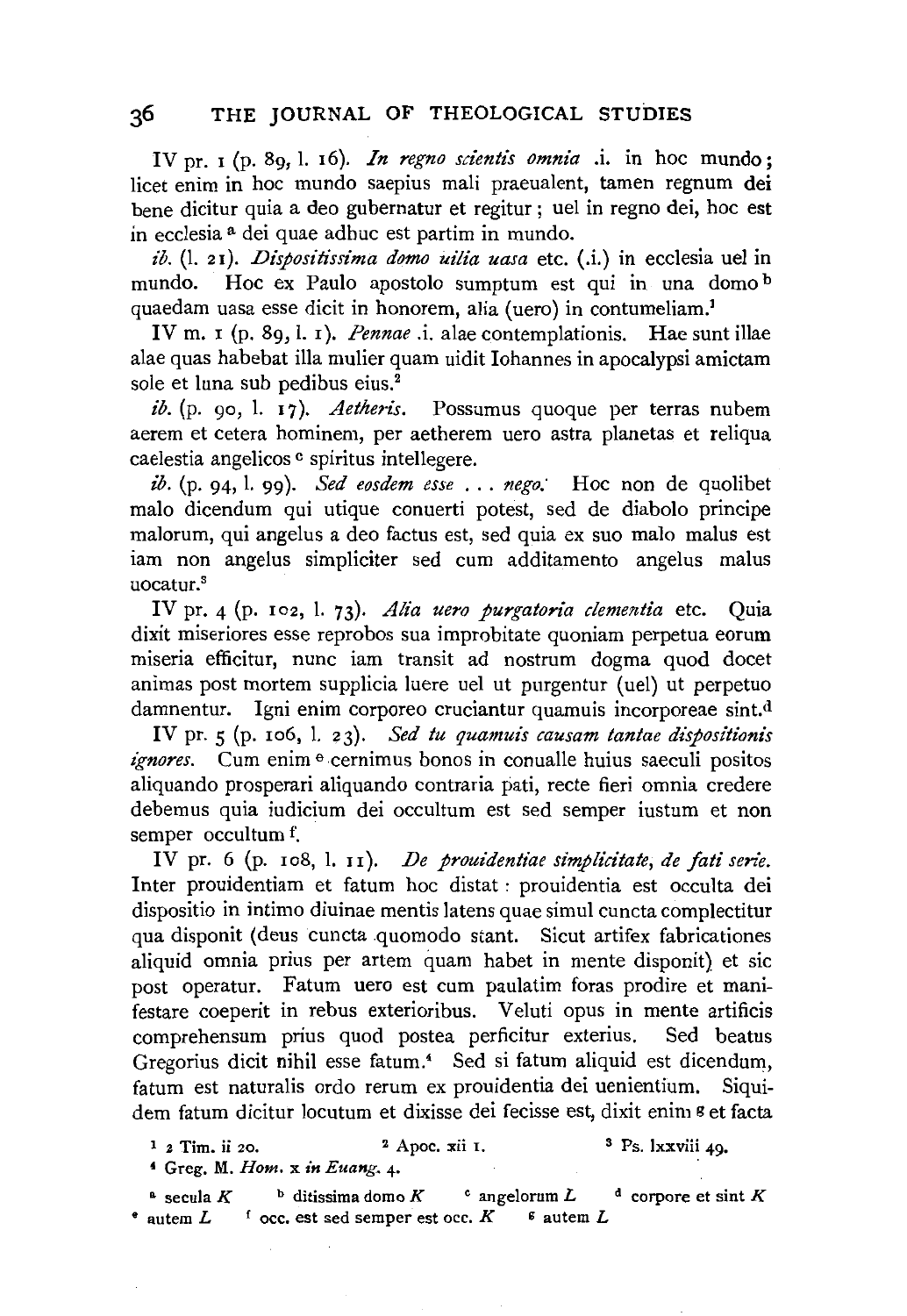IV pr. I (p. 8g, I. I6). *In regno scientis omnia* .i. in hoc mundo; licet enim in hoc mundo saepius mali praeualent, tamen regnum dei bene dicitur quia a deo gubernatur et regitur ; uel in regno dei, hoc est in ecclesia a dei quae adhuc est partim in mundo.

*ib.* (I. 2I). *Dispositissima domo uilia uasa* etc. (.i.) in ecclesia uel in mundo. Hoc ex Paulo apostolo sumptum est qui in una domo b quaedam uasa esse dicit in honorem, alia (uero) in contumeliam.1

IV m. 1 (p. 89, l. 1). *Pennae* .i. alae contemplationis. Hae sunt illae alae quas habebat illa mulier quam uidit Johannes in apocalypsi amictam sole et luna sub pedibus eius.<sup>2</sup>

*ib.* (p. 90, l. 17). *Aetheris*. Possumus quoque per terras nubem aerem et cetera hominem, per aetherem uero astra planetas et reliqua caelestia angelicos <sup>e</sup> spiritus intellegere.

*ib.* (p. 94, I. 99). *Sed eosdem esse* ... *nego;* Hoc non de quolibet malo dicendum qui utique conuerti potest, sed de diabolo principe malorum, qui angelus a deo factus est, sed quia ex suo malo malus est iam non angelus simpliciter sed cum additamento angelus malus uocatur."

IV pr. 4 (p. 102, l. 73). *Alia uero purgatoria clementia* etc. Quia dixit miseriores esse reprobos sua improbitate quoniam perpetua eorum miseria efficitur, nunc iam transit ad nostrum dogma quod docet animas post mortem supplicia luere uel ut purgentur (uel) ut perpetuo damnentur. Igni enim corporeo cruciantur quamuis incorporeae sint.d

IV pr. 5 (p. Io6, I. 23). *Sed tu quamuis causam tantae dispositionis ignores.* Cum enim  $\theta$  cernimus bonos in conualle huius saeculi positos aliquando prosperari aliquando contraria pati, recte fieri omnia credere debemus quia iudicium dei occultum est sed semper iustum et non semper occultum f.

IV pr. 6 (p. 108, l. 11). *De prouidentiae simplicitate, de fati serie.* Inter prouidentiam et fatum hoc distat : prouidentia est occulta dei dispositio in intimo diuinae mentis latens quae simul cuncta complectitur qua disponit (deus cuncta quomodo stant. Sicut artifex fabricationes aliquid omnia prius per artem quam habet in mente disponit) et sic post operatur. Fatum uero est cum paulatim foras prodire et manifestare coeperit in rebus exterioribus. Veluti opus in mente artificis comprehensum prius quod postea perficitur exterius. Sed beatus Gregorius dicit nihil esse fatum.<sup>4</sup> Sed si fatum aliquid est dicendum, fatum est naturalis ordo rerum ex prouidentia dei uenientium. Siquidem fatum dicitur locutum et dixisse dei fecisse est, dixit enim g et facta

 $\frac{1}{2}$  Tim. ii 20.  $\frac{2}{2}$  Apoc. xii I.  $\frac{3}{2}$  Ps. lxxviii 49. • Greg. M. *Hom.* x *in Euang.* 4·

<sup>a</sup> secula *K* **b** ditissima domo *K* **c** angelorum *L* **d** corpore et sint *K*  $\bullet$  autem *L*  $\bullet$  occ. est sed semper est occ.  $K$   $\bullet$  autem *L*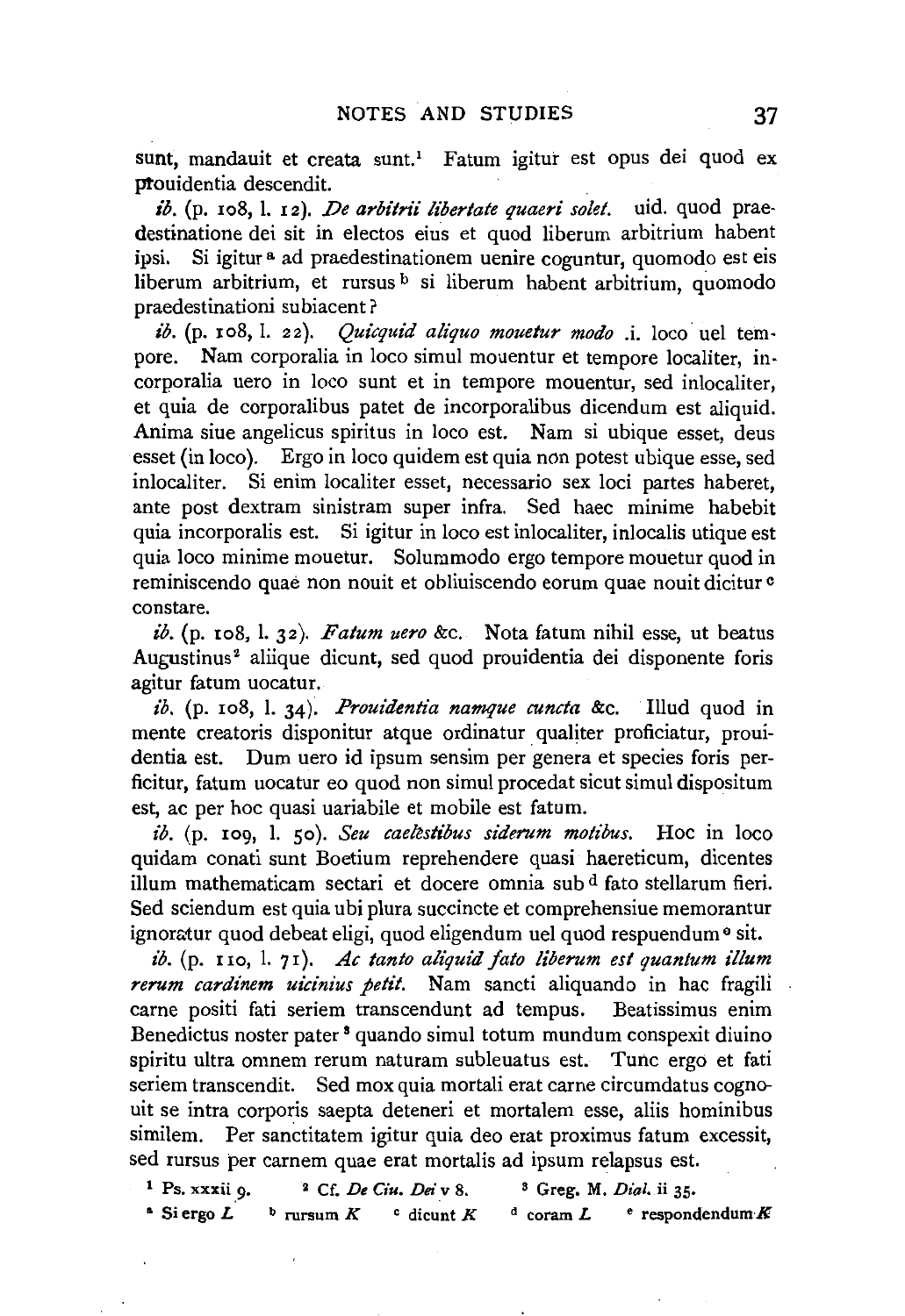sunt, mandauit et creata sunt.<sup>1</sup> Fatum igitur est opus dei quod ex ptouidentia descendit.

ib. (p. 108, l. 12). *De arbitrii libertate quaeri solet*. uid. quod praedestinatione dei sit in electos eius et quod liberum arbitrium habent ipsi. Si igitur<sup>a</sup> ad praedestinationem uenire coguntur, quomodo est eis liberum arbitrium, et rursus <sup>b</sup> si liberum habent arbitrium, quomodo praedestinationi subiacent?

*ib.* (p. 108, l. 22). *Quicquid aliquo mouetur modo i.* loco uel tempore. Nam corporalia in loco simul mouentur et tempore localiter, incorporalia uero in loco sunt et in tempore mouentur, sed inlocaliter, et quia de corporalibus patet de incorporalibus dicendum est aliquid. Anima siue angelicus spiritus in loco est. Nam si ubique esset, deus esset (in loco). Ergo in loco quidem est quia non potest ubique esse, sed inlocaliter. Si enim localiter esset, necessaria sex loci partes haberet, ante post dextram sinistram super infra. Sed haec minime habebit quia incorporalis est. Si igitur in loco est inlocaliter, inlocalis utique est quia loco minime mouetur. Solummodo ergo tempore mouetur quod in reminiscendo quae non nouit et obliuiscendo eorum quae nouit dicitur c constare.

*ib.* (p. xo8, I. 32). *Fatum uero* &c. Nota fatum nihil esse, ut beatus Augustinus<sup>2</sup> aliique dicunt, sed quod prouidentia dei disponente foris agitur fatum uocatur.

*ib.* (p. xo8, l. 34). *Prout'dentia namque cuncta* &c. Illud quod in mente creatoris disponitur atque ordinatur qualiter proficiatur, prouidentia est. Dum uero id ipsum sensim per genera et species foris perficitur, fatum uocatur eo quod non simul procedat sicut simul dispositum est, ac per hoc quasi uariabile et mobile est fatum.

*ib.* (p. xo9, I. so). *Seu caekstibus siderum motibus.* Hoc in loco quidam conati sunt Boetium reprehendere quasi haereticum, dicentes ilium mathematicam sectari et docere omnia sub d fato stellarum fieri. Sed sciendum est quia ubi plura succincte et comprehensiue memorantur ignoratur quod debeat eligi, quod eligendum uel quod respuendum  $\theta$  sit.

*ib.* (p. uo, l. 71). *Ac tanto aliquid jato liberum est quantum ilium rerum cardinem uicinius petit.* Nam sancti aliquando in hac fragili carne positi fati seriem transcendunt ad tempus. Beatissimus enim Benedictus noster pater 8 quando simul totum mundum conspexit diuino spiritu ultra omnem rerum naturam subleuatus est. Tunc ergo et fati seriem transcendit. Sed mox quia mortali erat carne circumdatus cognouit se intra corporis saepta deteneri et mortalem esse, aliis hominibus similem. Per sanctitatem igitur quia deo erat proximus fatum excessit, sed rursus per carnem quae erat mortalis ad ipsum relapsus est.

| $1$ Ps. xxxii $9$ .     | $2 \,$ Cf. De Ciu. Dei v 8.                    | <sup>3</sup> Greg. M. Dial. ii 35.    |
|-------------------------|------------------------------------------------|---------------------------------------|
| $\triangle$ Si ergo $L$ | $\frac{b}{c}$ rursum K<br>$\degree$ dicunt $K$ | $e$ respondendum $K$<br>$d$ coram $L$ |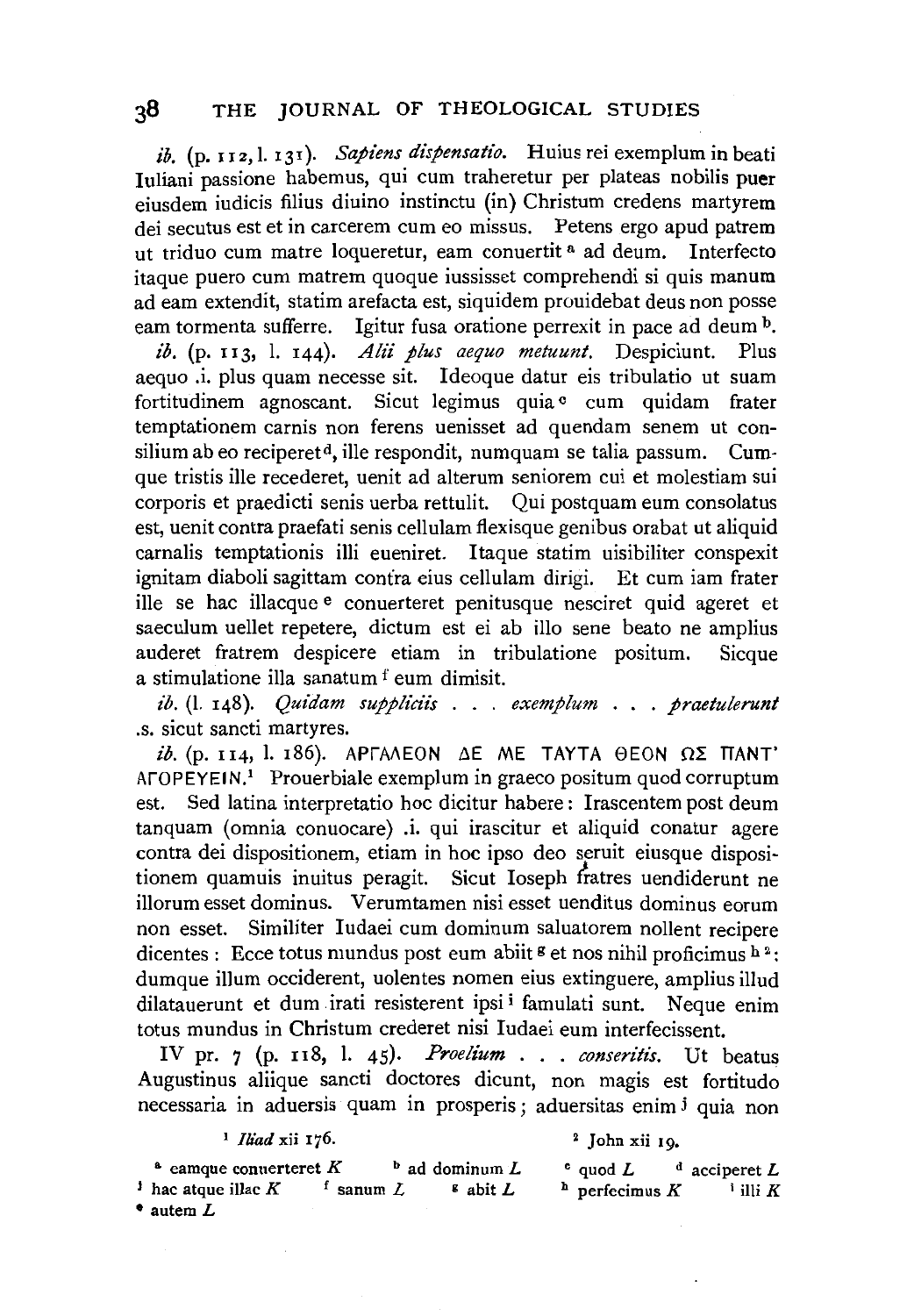*ib.* (p. 112, l. 131). *Sapiens dispensatio*. Huius rei exemplum in beati Iuliani passione habemus, qui cum traheretur per plateas nobilis puer eiusdem iudicis filius diuino instinctu (in) Christum credens martyrem dei secutus est et in carcerem cum eo missus. Petens ergo apud patrem ut triduo cum matre loqueretur, eam conuertit<sup>a</sup> ad deum. Interfecto itaque puero cum matrem quoque iussisset comprehendi si quis manum ad earn extendit, statim arefacta est, siquidem prouidebat deus non posse eam tormenta sufferre. Igitur fusa oratione perrexit in pace ad deum <sup>b</sup>.

*ib.* (p. 113, I. 144). *Alii plus aequo metuunt.* Despiciunt. Plus aequo .i. plus quam necesse sit. Ideoque datur eis tribulatio ut suam fortitudinem agnoscant. Sicut legimus quia c cum quidam frater temptationem carnis non ferens uenisset ad quendam senem ut consilium ab eo reciperet<sup>d</sup>, ille respondit, numquam se talia passum. Cumque tristis ille recederet, uenit ad alterum seniorem cui et molestiam sui corporis et praedicti senis uerba rettulit. Qui postquam eum consolatus est, uenit contra praefati senis cellulam flexisque genibus orabat ut aliquid carnalis temptationis illi eueniret. ltaque statim uisibiliter conspexit ignitam diaboli sagittam contra eius cellulam dirigi. Et cum iam frater ille se hac illacque e conuerteret penitusque nesciret quid ageret et saeculum uellet repetere, dictum est ei ab illo sene beato ne amplius auderet fratrem despicere etiam in tribulatione positum. Sicque a stimulatione ilia sanatum f eum dimisit.

*ib.* (1. 148). *Quidam suppliciis ... exemplum ... praetulerunt* .s. sicut sancti martyres.

 $ib.$  (p. 114, l. 186). APTAAEON  $\Delta E$  ME TAYTA  $\Theta E$ ON  $\Omega \Sigma$  TIANT' AFOPEYEIN.<sup>1</sup> Prouerbiale exemplum in graeco positum quod corruptum est. Sed latina interpretatio hoc dicitur habere: lrascentem post deum tanquam (omnia conuocare) .i. qui irascitur et aliquid conatur agere contra dei dispositionem, etiam in hoc ipso deo seruit eiusque dispositionem quamuis inuitus peragit. Sicut Ioseph Gatres uendiderunt ne illorum esset dominus. Verumtamen nisi esset uenditus dominus eorum non esset. Similiter Iudaei cum dominum saluatorem nollent recipere dicentes : Ecce totus mundus post eum abiit  $\frac{1}{2}$  et nos nihil proficimus  $h^2$ : dumque ilium occiderent, uolentes nomen eius extinguere, amplius illud dilatauerunt et dum irati resisterent ipsi i famulati sunt. Neque enim totus mundus in Christum crederet nisi ludaei eum interfecissent.

IV pr. 7 (p. 118, l. 45). *Proelium* . . . *conseritis*. Ut beatus Augustinus aliique sancti doctores dicunt, non magis est fortitudo necessaria in aduersis quam in prosperis; aduersitas enim j quia non

|  | <sup>1</sup> <i>Iliad</i> xii 176. |  |  |
|--|------------------------------------|--|--|
|--|------------------------------------|--|--|

2 John xii 19.

<sup>a</sup> eamque conuerteret  $K$   $b$  ad dominum  $L$ <sup>j</sup> hac atque illac  $K$  f sanum  $L$  g abit  $L$ • autem L  $\circ$  quod L  $\circ$  acciperet L  $h$  perfecimus  $K$  **i** illi  $K$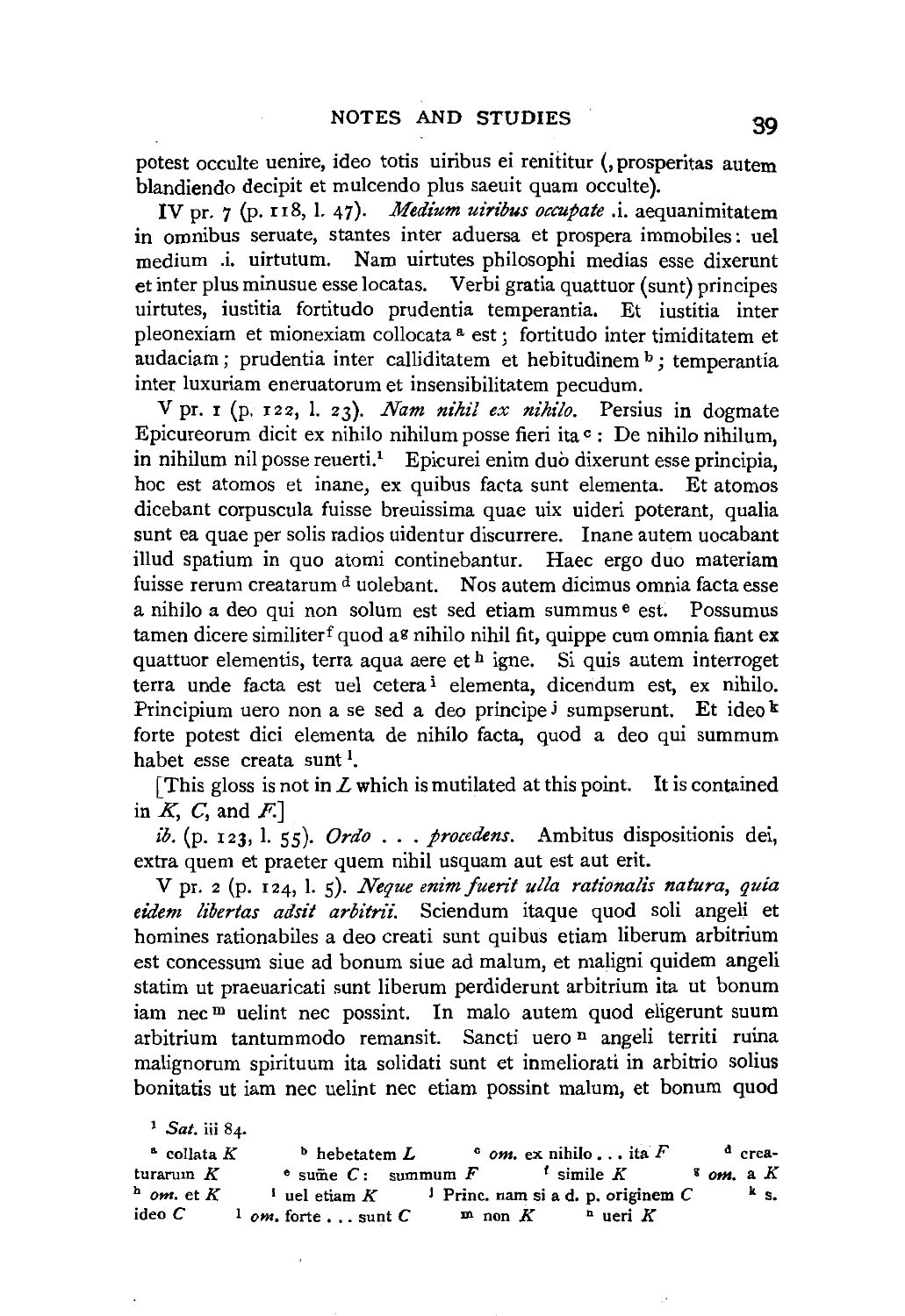potest occulte uenire, ideo totis uiribus ei renititur (, prosperitas autem blandiendo decipit et mulcendo plus saeuit quam occulte).

IV pr. 7 (p. 118, l. 47). *Medium uiribus occupate* .i. aequanimitatem in omnibus seruate, stantes inter aduersa et prospera immobiles: uel medium .i. uirtutum. Nam uirtutes philosophi medias esse dixerunt et inter plus minusue esse locatas. Verbi gratia quattuor (sunt) principes uirtutes, iustitia fortitudo prudentia temperantia. Et iustitia inter pleonexiam et mionexiam collocata a est ; fortitudo inter timiditatem et audaciam; prudentia inter calliditatem et hebitudinem b; temperantia inter luxuriam eneruatorum et insensibilitatem pecudum.

V pr. r (p. r22, I. 23). *Nam nihil ex nihilo.* Persius in dogmate Epicureorum dicit ex nihilo nihilum posse fieri ita $\circ$ : De nihilo nihilum, in nihilum nil posse reuerti.<sup>1</sup> Epicurei enim duo dixerunt esse principia, hoc est atomos et inane, ex quibus facta sunt elementa. Et atomos dicebant corpuscula fuisse breuissima quae uix uideri poterant, qualia sunt ea quae per solis radios uidentur discurrere. Inane autem uocabant illud spatium in quo atomi continebantur. Haec ergo duo materiam fuisse rerum creatarum <sup>d</sup> uolebant. Nos autem dicimus omnia facta esse a nihilo a deo qui non solum est sed etiam summus e est. Possumus tamen dicere similiter<sup>f</sup> quod a<sup>g</sup> nihilo nihil fit, quippe cum omnia fiant ex quattuor elementis, terra aqua aere et  $h$  igne. Si quis autem interroget terra unde facta est uel cetera i elementa, dicendum est, ex nihilo. Principium uero non a se sed a deo principe *j* sumpserunt. Et ideo  $\frac{k}{\epsilon}$ forte potest dici elementa de nihilo facta, quod a deo qui summum habet esse creata sunt<sup>1</sup>.

[This gloss is not in  $L$  which is mutilated at this point. It is contained in  $K$ ,  $C$ , and  $F$ .]

*ib.* (p. 123, l. 55). *Ordo* . . . *procedens.* Ambitus dispositionis dei, extra quem et praeter quem nihil usquam aut est aut erit.

v pr. 2 (p. I 24, 1. s). *Neque enim fuerit ulla rationalls natura, quia eidem libertas adsit arbitrt'i.* Sciendum itaque quod soli angeli et homines rationabiles a deo creati sunt quibus etiam liberum arbitrium est concessum siue ad bonum siue ad malum, et maligni quidem angeli statim ut praeuaricati sunt liberum perdiderunt arbitrium ita ut bonum iam nec<sup>m</sup> uelint nec possint. In malo autem quod eligerunt suum arbitrium tantummodo remansit. Sancti uero n angeli territi ruina malignorum spirituum ita solidati sunt et inmeliorati in arbitrio solius bonitatis ut iam nee uelint nee etiam possint malum, et bonum quod

<sup>1</sup>*Sat.* iii 84.

| $^a$ collata $K$ | $b$ hebetatem $L$                |                                                 | $\circ$ om. ex nihilo it a F |                       | $^d$ crea-  |
|------------------|----------------------------------|-------------------------------------------------|------------------------------|-----------------------|-------------|
| turarum $K$      | $\epsilon$ sume $C$ : summum $F$ |                                                 | $\epsilon$ simile $K$        | $\frac{8}{3}$ om, a K |             |
| $h$ om, et K     | <sup>1</sup> uel etiam $K$       | <sup>1</sup> Princ. nam si a d. p. originem $C$ |                              |                       | $k_{\rm s}$ |
| ideo C           | $1$ om, forte, sunt C            | $m$ non $K$                                     | $\Delta$ ueri $K$            |                       |             |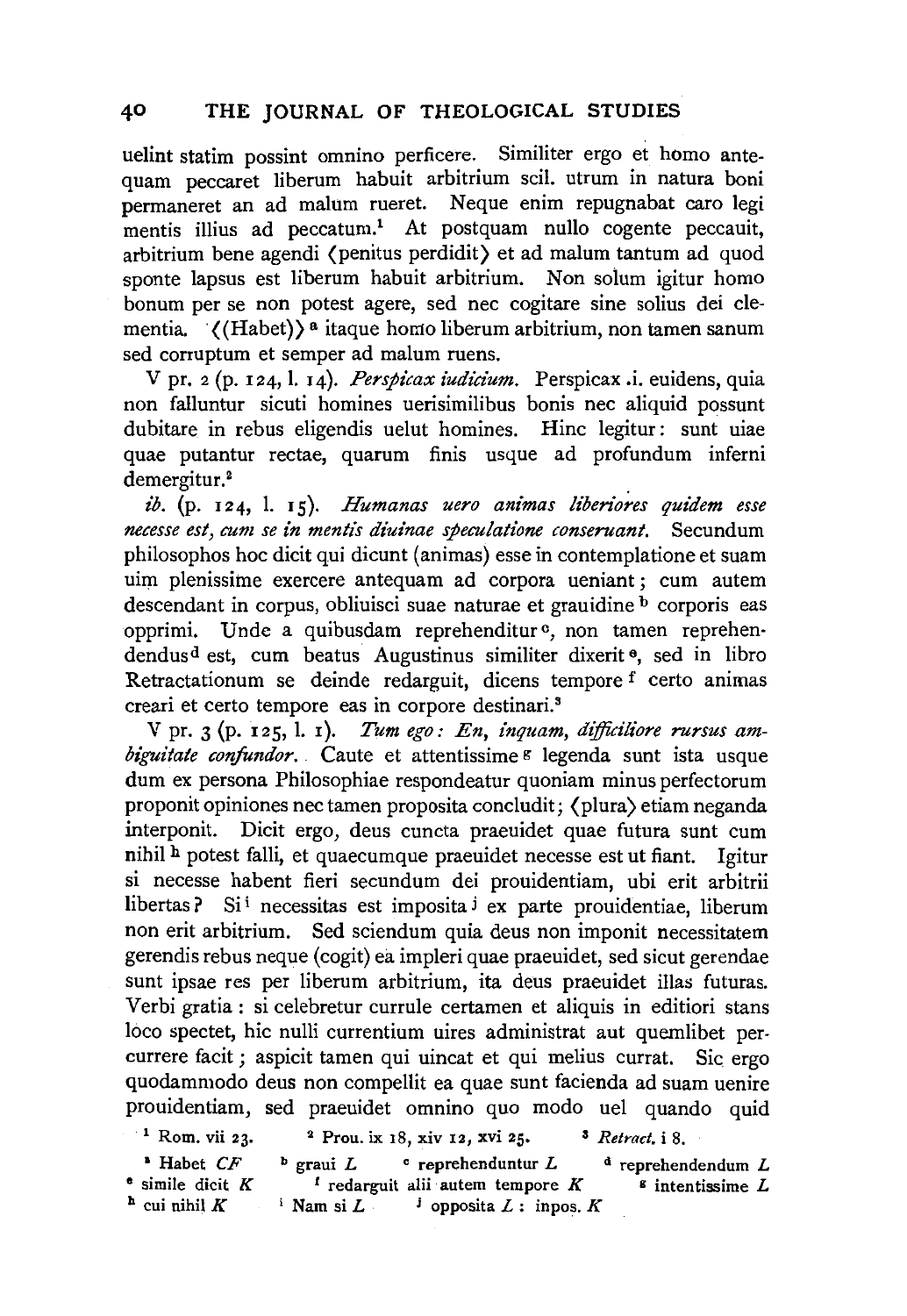uelint statim possint omnino perficere. Similiter ergo et homo antequam peccaret liberum habuit arbitrium scil. utrum in natura boni permaneret an ad malum rueret. Neque enim repugnabat caro legi mentis illius ad peccatum.<sup>1</sup> At postquam nullo cogente peccauit, arbitrium bene agendi (penitus perdidit) et ad malum tantum ad quod sponte lapsus est liberum habuit arbitrium. Non solum igitur homo bonum per se non potest agere, sed nee cogitare sine solius dei dementia.  $\langle$ (Habet)) a itaque homo liberum arbitrium, non tamen sanum sed corruptum et semper ad malum ruens.

V pr. 2 (p. 124, I. 14). *Perspicax iudidum.* Perspicax .i. euidens, quia non falluntur sicuti homines uerisimilibus bonis nee aliquid possunt dubitare in rebus eligendis uelut homines. Hinc legitur: sunt uiae quae putantur rectae, quarum finis usque ad profundum inferni demergitur.<sup>2</sup>

*ib.* (p. 124, l. 15). *Humanas uero animas liberiores quidem esse necesse est, cum se in mentis diuinae speculatione conseruant.* Secundum philosophos hoc dicit qui dicunt (animas) esse in contemplatione et suam uim plenissime exercere antequam ad corpora ueniant ; cum autem descendant in corpus, obliuisci suae naturae et grauidine <sup>b</sup> corporis eas opprimi. Unde a quibusdam reprehenditur<sup>c</sup>, non tamen reprehendendusd est, cum beatus Augustinus similiter dixerit e, sed in libro Retractationum se deinde redarguit, dicens tempore f certo animas creari et certo tempore eas in corpore destinari.<sup>3</sup>

V pr. 3 (p. 125, 1. x). *Tum ego: En, inquam, dijficiliore rursus ambiguitate confundor.* Caute et attentissime<sup>g</sup> legenda sunt ista usque dum ex persona Philosophiae respondeatur quoniam minus perfectorum proponit opiniones nec tamen proposita concludit; (plura) etiam neganda interponit. Dicit ergo, deus cuncta praeuidet quae futura sunt cum nihil h potest falli, et quaecumque praeuidet necesse est ut fiant. Igitur si necesse habent fieri secundum dei prouidentiam, ubi erit arbitrii libertas ? Si<sup>i</sup> necessitas est imposita <sup>j</sup> ex parte prouidentiae, liberum non erit arbitrium. Sed sciendum quia deus non imponit necessitatem gerendis rebus neque (cogit) ea impleri quae praeuidet, sed sicut gerendae sunt ipsae res per liberum arbitrium, ita deus praeuidet illas futuras. Verbi gratia: si celebretur currule certamen et aliquis in editiori stans loco spectet, hie nulli currentium uires administrat aut quemlibet percurrere facit ; aspicit tamen qui uincat et qui melius currat. Sic. ergo quodammodo deus non compellit ea quae sunt facienda ad suam uenire prouidentiam, sed praeuidet omnino quo modo uel quando quid

1 Rom. vii 23. 2 Prou. ix 18, xiv 12, xvi 25. 3 *Retract.* i 8.

• Habet *CF*  • simile dicit K  $<sup>h</sup>$  cui nihil K</sup>  $\Phi$  graui L c reprehenduntur L  $t$  redarguit alii autem tempore  $K$  $i$  Nam si *L* **i** opposita *L* : inpos. *K*  $d$  reprehendendum  $L$  $s$  intentissime  $L$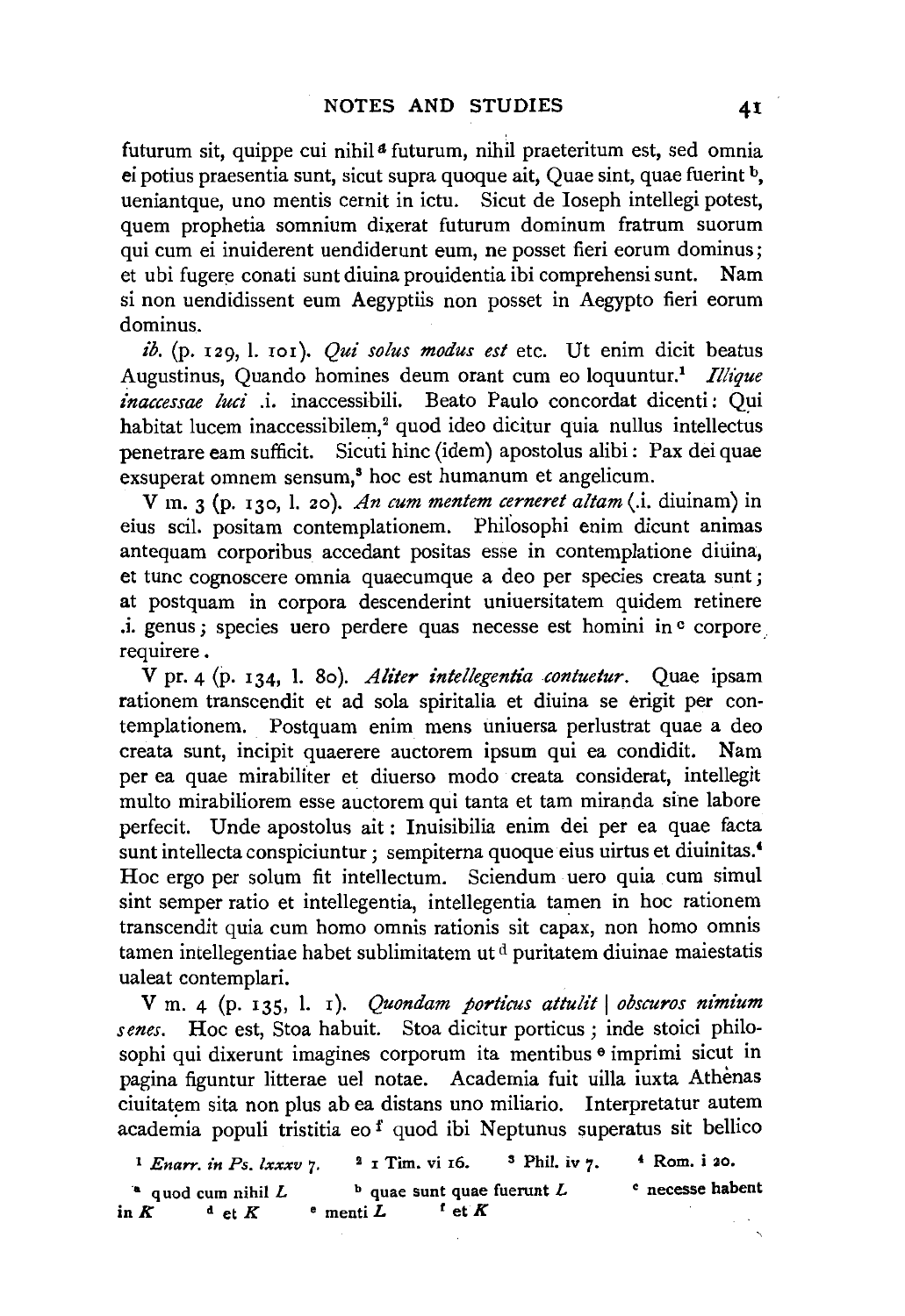futurum sit, quippe cui nihil<sup>a</sup> futurum, nihil praeteritum est, sed omnia ei potius praesentia sunt, sicut supra quoque ait, Quae sint, quae fuerint b, ueniantque, uno mentis cernit in ictu. Sicut de Ioseph intellegi potest, quem prophetia somnium dixerat futurum dominum fratrum suorum qui cum ei inuiderent uendiderunt eum, ne posset fieri eorum dominus; et ubi fugere conati sunt diuina prouidentia ibi comprehensi sunt. Nam si non uendidissent eum Aegyptiis non posset in Aegypto fieri eorum dominus.

ib. (p. 129, l. 101). *Qui solus modus est* etc. Ut enim dicit beatus Augustinus, Quando homines deum orant cum eo loquuntur.<sup>1</sup> Illique *£naccessae luci* .i. inaccessibili. Beato Paulo concordat dicenti : Qui habitat lucem inaccessibilem,<sup>2</sup> quod ideo dicitur quia nullus intellectus penetrare eam sufficit. Sicuti hinc (idem) apostolus alibi : Pax dei quae exsuperat omnem sensum,<sup>8</sup> hoc est humanum et angelicum.

V m. 3 (p. 130, l. 20 ). *An cum mentem cerneret altam* (.i. diuinam) in eius scil. positam contemplationem. Phiiosophi enim dicunt animas antequam corporibus accedant positas esse in contemplatione diuina, et tunc cognoscere omnia quaecumque a deo per species creata sunt ; at postquam in corpora descenderint uniuersitatem quidem retinere .i. genus ; species uero perdere quas necesse est homini in ° corpore requirere.

V pr. 4 (p. 134, l. 80). *Aliter intellegentia contuetur*. Quae ipsam rationem transcendit et ad sola spiritalia et diuina se erigit per contemplationem. Postquam enim mens uniuersa perlustrat quae a deo creata sunt, incipit quaerere auctorem ipsum qui ea condidit. Nam per ea quae mirabiliter et diuerso modo creata considerat, intellegit multo mirabiliorem esse auctorem qui tanta et tam miranda sine lahore perfecit. Unde apostolus ait : Inuisibilia enim dei per ea quae facta sunt intellecta conspiciuntur ; sempiterna quoque eius uirtus et diuinitas.<sup>4</sup> Hoc ergo per solum fit intellectum. Sciendum uero quia cum simul sint semper ratio et intellegentia, intellegentia tamen in hoc rationem transcendit quia cum homo omnis rationis sit capax, non homo omnis tamen intellegentiae habet sublimitatem ut d puritatem diuinae maiestatis ualeat contemplari.

V m. 4 (p. 135, l. 1). *Quondam porticus attulit | obscuros nimium senes.* Hoc est, Stoa habuit. Stoa dicitur porticus ; inde stoici philosophi qui dixerunt imagines corporum ita mentibus <sup>e</sup> imprimi sicut in pagina figuntur litterae uel notae. Academia fuit uilla iuxta Athenas ciuitatem sita non plus ab ea distans uno miliario. Interpretatur autem academia populi tristitia eo <sup>f</sup> quod ibi Neptunus superatus sit bellico

<sup>1</sup> Enarr. in Ps. lxxxv 7. <sup>2</sup> 1 Tim. vi 16. <sup>3</sup> Phil. iv 7. <sup>4</sup> Rom. i 20. <sup>a</sup> quod cum nihil L b quae sunt quae fuerunt L c necesse habent<br>  $\kappa$  d et  $K$  c menti L f et  $K$ in  $K$  d et  $K$  **eximinal**